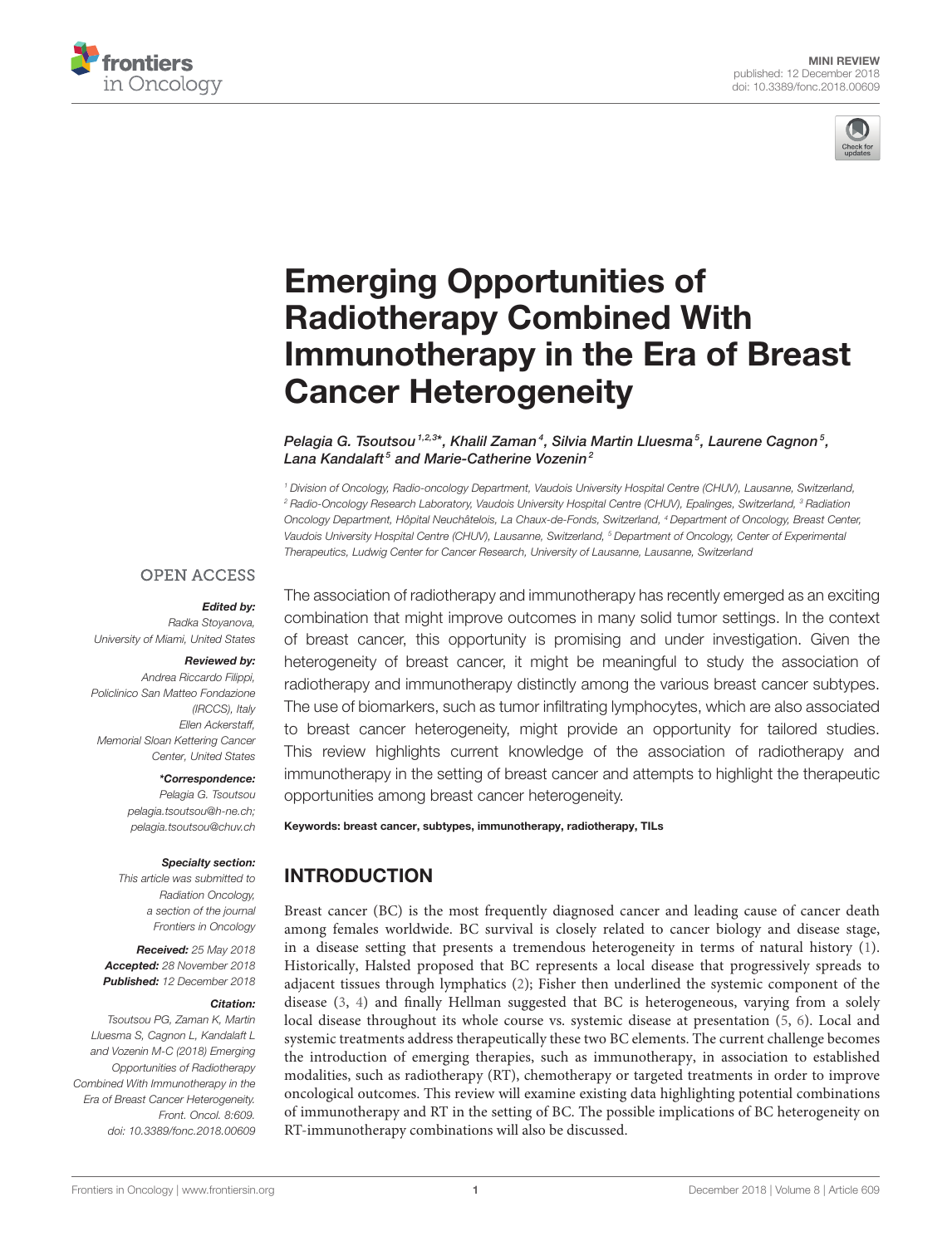



# Emerging Opportunities of Radiotherapy Combined With [Immunotherapy in the Era of Breast](https://www.frontiersin.org/articles/10.3389/fonc.2018.00609/full) Cancer Heterogeneity

[Pelagia G. Tsoutsou](http://loop.frontiersin.org/people/80564/overview)  $1.2.3*$ , Khalil Zaman $\,$ 4, Silvia Martin Lluesma $^5$ , [Laurene Cagnon](http://loop.frontiersin.org/people/601276/overview) $^5$ , [Lana Kandalaft](http://loop.frontiersin.org/people/648491/overview)<sup>5</sup> and [Marie-Catherine Vozenin](http://loop.frontiersin.org/people/425263/overview)<sup>2</sup>

<sup>1</sup> Division of Oncology, Radio-oncology Department, Vaudois University Hospital Centre (CHUV), Lausanne, Switzerland, <sup>2</sup> Radio-Oncology Research Laboratory, Vaudois University Hospital Centre (CHUV), Epalinges, Switzerland, <sup>3</sup> Radiation Oncology Department, Hôpital Neuchâtelois, La Chaux-de-Fonds, Switzerland, <sup>4</sup> Department of Oncology, Breast Center, Vaudois University Hospital Centre (CHUV), Lausanne, Switzerland, <sup>5</sup> Department of Oncology, Center of Experimental Therapeutics, Ludwig Center for Cancer Research, University of Lausanne, Lausanne, Switzerland

#### **OPEN ACCESS**

Edited by: Radka Stoyanova, University of Miami, United States

#### Reviewed by:

Andrea Riccardo Filippi, Policlinico San Matteo Fondazione (IRCCS), Italy Ellen Ackerstaff, Memorial Sloan Kettering Cancer Center, United States

#### \*Correspondence:

Pelagia G. Tsoutsou [pelagia.tsoutsou@h-ne.ch;](mailto:pelagia.tsoutsou@h-ne.ch) [pelagia.tsoutsou@chuv.ch](mailto:pelagia.tsoutsou@chuv.ch)

#### Specialty section:

This article was submitted to Radiation Oncology, a section of the journal Frontiers in Oncology

Received: 25 May 2018 Accepted: 28 November 2018 Published: 12 December 2018

#### Citation:

Tsoutsou PG, Zaman K, Martin Lluesma S, Cagnon L, Kandalaft L and Vozenin M-C (2018) Emerging Opportunities of Radiotherapy Combined With Immunotherapy in the Era of Breast Cancer Heterogeneity. Front. Oncol. 8:609. doi: [10.3389/fonc.2018.00609](https://doi.org/10.3389/fonc.2018.00609)

The association of radiotherapy and immunotherapy has recently emerged as an exciting combination that might improve outcomes in many solid tumor settings. In the context of breast cancer, this opportunity is promising and under investigation. Given the heterogeneity of breast cancer, it might be meaningful to study the association of radiotherapy and immunotherapy distinctly among the various breast cancer subtypes. The use of biomarkers, such as tumor infiltrating lymphocytes, which are also associated to breast cancer heterogeneity, might provide an opportunity for tailored studies. This review highlights current knowledge of the association of radiotherapy and immunotherapy in the setting of breast cancer and attempts to highlight the therapeutic opportunities among breast cancer heterogeneity.

Keywords: breast cancer, subtypes, immunotherapy, radiotherapy, TILs

# INTRODUCTION

Breast cancer (BC) is the most frequently diagnosed cancer and leading cause of cancer death among females worldwide. BC survival is closely related to cancer biology and disease stage, in a disease setting that presents a tremendous heterogeneity in terms of natural history [\(1\)](#page-8-0). Historically, Halsted proposed that BC represents a local disease that progressively spreads to adjacent tissues through lymphatics [\(2\)](#page-8-1); Fisher then underlined the systemic component of the disease [\(3,](#page-8-2) [4\)](#page-8-3) and finally Hellman suggested that BC is heterogeneous, varying from a solely local disease throughout its whole course vs. systemic disease at presentation [\(5,](#page-8-4) [6\)](#page-8-5). Local and systemic treatments address therapeutically these two BC elements. The current challenge becomes the introduction of emerging therapies, such as immunotherapy, in association to established modalities, such as radiotherapy (RT), chemotherapy or targeted treatments in order to improve oncological outcomes. This review will examine existing data highlighting potential combinations of immunotherapy and RT in the setting of BC. The possible implications of BC heterogeneity on RT-immunotherapy combinations will also be discussed.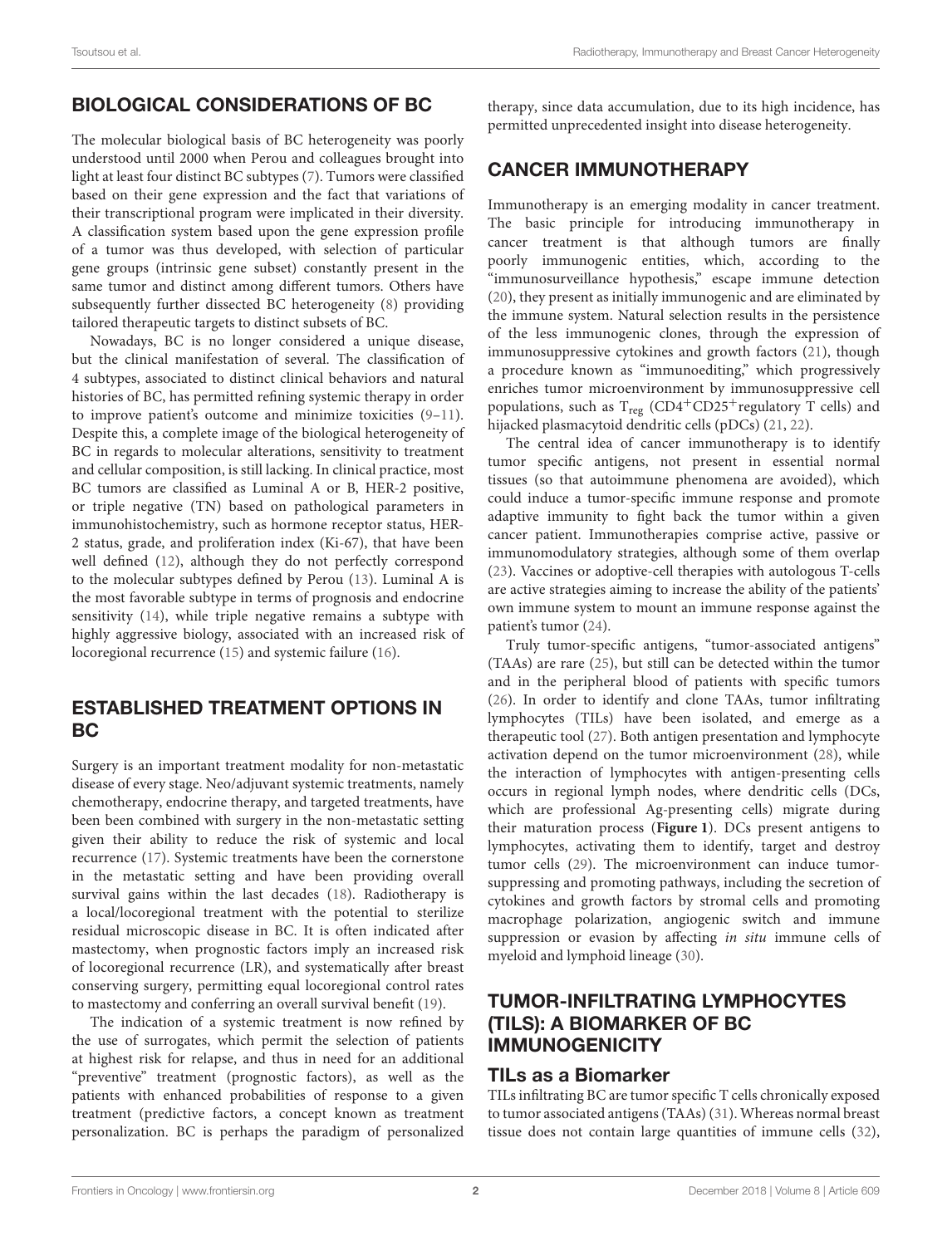## BIOLOGICAL CONSIDERATIONS OF BC

The molecular biological basis of BC heterogeneity was poorly understood until 2000 when Perou and colleagues brought into light at least four distinct BC subtypes [\(7\)](#page-9-0). Tumors were classified based on their gene expression and the fact that variations of their transcriptional program were implicated in their diversity. A classification system based upon the gene expression profile of a tumor was thus developed, with selection of particular gene groups (intrinsic gene subset) constantly present in the same tumor and distinct among different tumors. Others have subsequently further dissected BC heterogeneity [\(8\)](#page-9-1) providing tailored therapeutic targets to distinct subsets of BC.

Nowadays, BC is no longer considered a unique disease, but the clinical manifestation of several. The classification of 4 subtypes, associated to distinct clinical behaviors and natural histories of BC, has permitted refining systemic therapy in order to improve patient's outcome and minimize toxicities [\(9–](#page-9-2)[11\)](#page-9-3). Despite this, a complete image of the biological heterogeneity of BC in regards to molecular alterations, sensitivity to treatment and cellular composition, is still lacking. In clinical practice, most BC tumors are classified as Luminal A or B, HER-2 positive, or triple negative (TN) based on pathological parameters in immunohistochemistry, such as hormone receptor status, HER-2 status, grade, and proliferation index (Ki-67), that have been well defined [\(12\)](#page-9-4), although they do not perfectly correspond to the molecular subtypes defined by Perou [\(13\)](#page-9-5). Luminal A is the most favorable subtype in terms of prognosis and endocrine sensitivity [\(14\)](#page-9-6), while triple negative remains a subtype with highly aggressive biology, associated with an increased risk of locoregional recurrence [\(15\)](#page-9-7) and systemic failure [\(16\)](#page-9-8).

#### ESTABLISHED TREATMENT OPTIONS IN BC

Surgery is an important treatment modality for non-metastatic disease of every stage. Neo/adjuvant systemic treatments, namely chemotherapy, endocrine therapy, and targeted treatments, have been been combined with surgery in the non-metastatic setting given their ability to reduce the risk of systemic and local recurrence [\(17\)](#page-9-9). Systemic treatments have been the cornerstone in the metastatic setting and have been providing overall survival gains within the last decades [\(18\)](#page-9-10). Radiotherapy is a local/locoregional treatment with the potential to sterilize residual microscopic disease in BC. It is often indicated after mastectomy, when prognostic factors imply an increased risk of locoregional recurrence (LR), and systematically after breast conserving surgery, permitting equal locoregional control rates to mastectomy and conferring an overall survival benefit [\(19\)](#page-9-11).

The indication of a systemic treatment is now refined by the use of surrogates, which permit the selection of patients at highest risk for relapse, and thus in need for an additional "preventive" treatment (prognostic factors), as well as the patients with enhanced probabilities of response to a given treatment (predictive factors, a concept known as treatment personalization. BC is perhaps the paradigm of personalized

therapy, since data accumulation, due to its high incidence, has permitted unprecedented insight into disease heterogeneity.

#### CANCER IMMUNOTHERAPY

Immunotherapy is an emerging modality in cancer treatment. The basic principle for introducing immunotherapy in cancer treatment is that although tumors are finally poorly immunogenic entities, which, according to the "immunosurveillance hypothesis," escape immune detection [\(20\)](#page-9-12), they present as initially immunogenic and are eliminated by the immune system. Natural selection results in the persistence of the less immunogenic clones, through the expression of immunosuppressive cytokines and growth factors [\(21\)](#page-9-13), though a procedure known as "immunoediting," which progressively enriches tumor microenvironment by immunosuppressive cell populations, such as  $T_{reg}$  (CD4<sup>+</sup>CD25<sup>+</sup>regulatory T cells) and hijacked plasmacytoid dendritic cells (pDCs) [\(21,](#page-9-13) [22\)](#page-9-14).

The central idea of cancer immunotherapy is to identify tumor specific antigens, not present in essential normal tissues (so that autoimmune phenomena are avoided), which could induce a tumor-specific immune response and promote adaptive immunity to fight back the tumor within a given cancer patient. Immunotherapies comprise active, passive or immunomodulatory strategies, although some of them overlap [\(23\)](#page-9-15). Vaccines or adoptive-cell therapies with autologous T-cells are active strategies aiming to increase the ability of the patients' own immune system to mount an immune response against the patient's tumor [\(24\)](#page-9-16).

Truly tumor-specific antigens, "tumor-associated antigens" (TAAs) are rare [\(25\)](#page-9-17), but still can be detected within the tumor and in the peripheral blood of patients with specific tumors [\(26\)](#page-9-18). In order to identify and clone TAAs, tumor infiltrating lymphocytes (TILs) have been isolated, and emerge as a therapeutic tool [\(27\)](#page-9-19). Both antigen presentation and lymphocyte activation depend on the tumor microenvironment [\(28\)](#page-9-20), while the interaction of lymphocytes with antigen-presenting cells occurs in regional lymph nodes, where dendritic cells (DCs, which are professional Ag-presenting cells) migrate during their maturation process (**[Figure 1](#page-2-0)**). DCs present antigens to lymphocytes, activating them to identify, target and destroy tumor cells [\(29\)](#page-9-21). The microenvironment can induce tumorsuppressing and promoting pathways, including the secretion of cytokines and growth factors by stromal cells and promoting macrophage polarization, angiogenic switch and immune suppression or evasion by affecting in situ immune cells of myeloid and lymphoid lineage [\(30\)](#page-9-22).

## TUMOR-INFILTRATING LYMPHOCYTES (TILS): A BIOMARKER OF BC IMMUNOGENICITY

#### TILs as a Biomarker

TILs infiltrating BC are tumor specific T cells chronically exposed to tumor associated antigens (TAAs) [\(31\)](#page-9-23). Whereas normal breast tissue does not contain large quantities of immune cells [\(32\)](#page-9-24),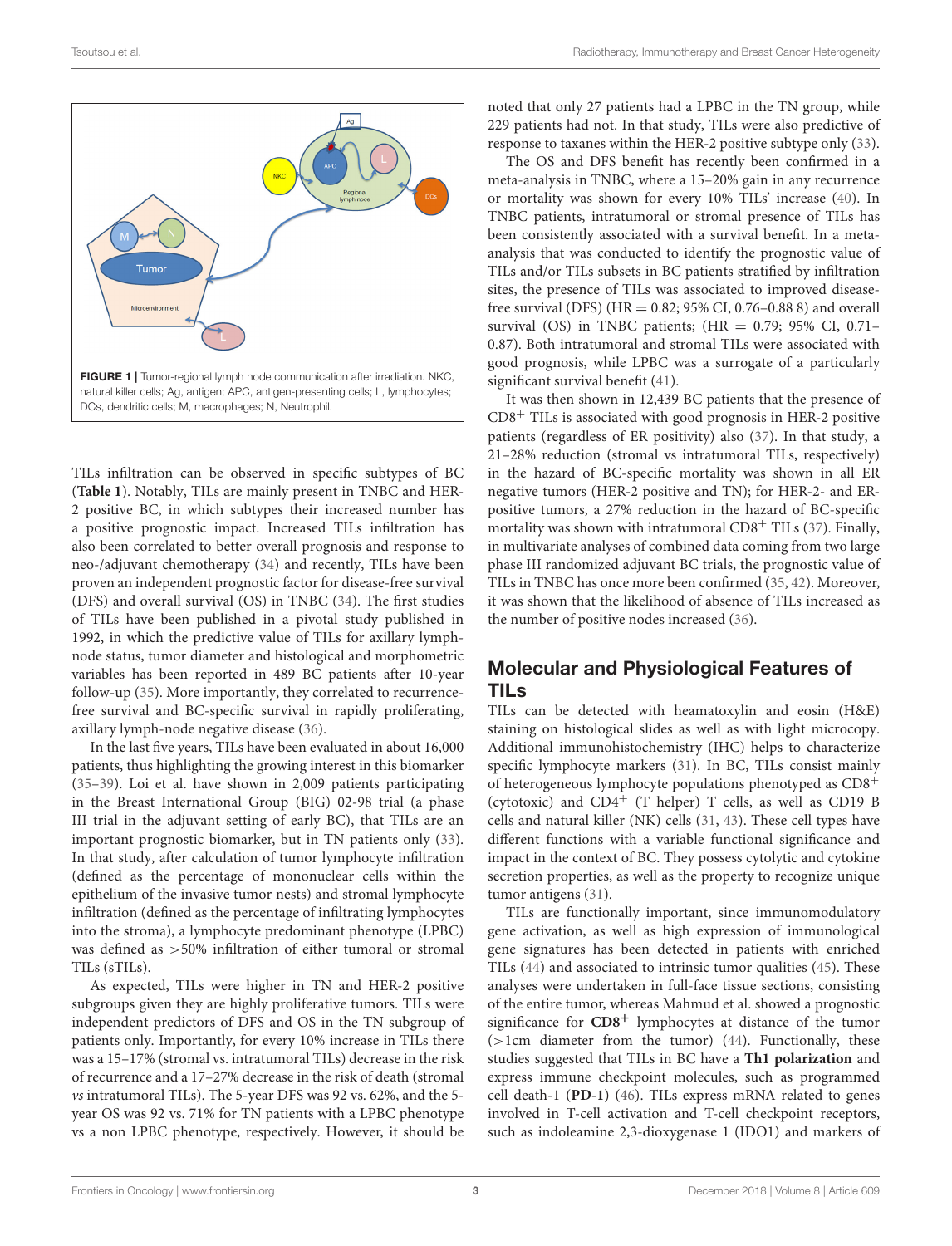

<span id="page-2-0"></span>TILs infiltration can be observed in specific subtypes of BC (**[Table 1](#page-3-0)**). Notably, TILs are mainly present in TNBC and HER-2 positive BC, in which subtypes their increased number has a positive prognostic impact. Increased TILs infiltration has also been correlated to better overall prognosis and response to neo-/adjuvant chemotherapy [\(34\)](#page-9-25) and recently, TILs have been proven an independent prognostic factor for disease-free survival (DFS) and overall survival (OS) in TNBC [\(34\)](#page-9-25). The first studies of TILs have been published in a pivotal study published in 1992, in which the predictive value of TILs for axillary lymphnode status, tumor diameter and histological and morphometric variables has been reported in 489 BC patients after 10-year follow-up [\(35\)](#page-9-26). More importantly, they correlated to recurrencefree survival and BC-specific survival in rapidly proliferating, axillary lymph-node negative disease [\(36\)](#page-9-27).

In the last five years, TILs have been evaluated in about 16,000 patients, thus highlighting the growing interest in this biomarker [\(35](#page-9-26)[–39\)](#page-9-28). Loi et al. have shown in 2,009 patients participating in the Breast International Group (BIG) 02-98 trial (a phase III trial in the adjuvant setting of early BC), that TILs are an important prognostic biomarker, but in TN patients only [\(33\)](#page-9-29). In that study, after calculation of tumor lymphocyte infiltration (defined as the percentage of mononuclear cells within the epithelium of the invasive tumor nests) and stromal lymphocyte infiltration (defined as the percentage of infiltrating lymphocytes into the stroma), a lymphocyte predominant phenotype (LPBC) was defined as >50% infiltration of either tumoral or stromal TILs (sTILs).

As expected, TILs were higher in TN and HER-2 positive subgroups given they are highly proliferative tumors. TILs were independent predictors of DFS and OS in the TN subgroup of patients only. Importantly, for every 10% increase in TILs there was a 15–17% (stromal vs. intratumoral TILs) decrease in the risk of recurrence and a 17–27% decrease in the risk of death (stromal vs intratumoral TILs). The 5-year DFS was 92 vs. 62%, and the 5 year OS was 92 vs. 71% for TN patients with a LPBC phenotype vs a non LPBC phenotype, respectively. However, it should be noted that only 27 patients had a LPBC in the TN group, while 229 patients had not. In that study, TILs were also predictive of response to taxanes within the HER-2 positive subtype only [\(33\)](#page-9-29).

The OS and DFS benefit has recently been confirmed in a meta-analysis in TNBC, where a 15–20% gain in any recurrence or mortality was shown for every 10% TILs' increase [\(40\)](#page-9-30). In TNBC patients, intratumoral or stromal presence of TILs has been consistently associated with a survival benefit. In a metaanalysis that was conducted to identify the prognostic value of TILs and/or TILs subsets in BC patients stratified by infiltration sites, the presence of TILs was associated to improved diseasefree survival (DFS) (HR = 0.82; 95% CI, 0.76–0.88 8) and overall survival (OS) in TNBC patients; (HR = 0.79; 95% CI, 0.71– 0.87). Both intratumoral and stromal TILs were associated with good prognosis, while LPBC was a surrogate of a particularly significant survival benefit [\(41\)](#page-9-31).

It was then shown in 12,439 BC patients that the presence of  $CD8<sup>+</sup>$  TILs is associated with good prognosis in HER-2 positive patients (regardless of ER positivity) also [\(37\)](#page-9-32). In that study, a 21–28% reduction (stromal vs intratumoral TILs, respectively) in the hazard of BC-specific mortality was shown in all ER negative tumors (HER-2 positive and TN); for HER-2- and ERpositive tumors, a 27% reduction in the hazard of BC-specific mortality was shown with intratumoral CD8<sup>+</sup> TILs [\(37\)](#page-9-32). Finally, in multivariate analyses of combined data coming from two large phase III randomized adjuvant BC trials, the prognostic value of TILs in TNBC has once more been confirmed [\(35,](#page-9-26) [42\)](#page-9-33). Moreover, it was shown that the likelihood of absence of TILs increased as the number of positive nodes increased [\(36\)](#page-9-27).

# Molecular and Physiological Features of TILs

TILs can be detected with heamatoxylin and eosin (H&E) staining on histological slides as well as with light microcopy. Additional immunohistochemistry (IHC) helps to characterize specific lymphocyte markers [\(31\)](#page-9-23). In BC, TILs consist mainly of heterogeneous lymphocyte populations phenotyped as CD8<sup>+</sup> (cytotoxic) and  $CD4^+$  (T helper) T cells, as well as CD19 B cells and natural killer (NK) cells [\(31,](#page-9-23) [43\)](#page-9-34). These cell types have different functions with a variable functional significance and impact in the context of BC. They possess cytolytic and cytokine secretion properties, as well as the property to recognize unique tumor antigens [\(31\)](#page-9-23).

TILs are functionally important, since immunomodulatory gene activation, as well as high expression of immunological gene signatures has been detected in patients with enriched TILs [\(44\)](#page-9-35) and associated to intrinsic tumor qualities [\(45\)](#page-10-0). These analyses were undertaken in full-face tissue sections, consisting of the entire tumor, whereas Mahmud et al. showed a prognostic significance for **CD8**<sup>+</sup> lymphocytes at distance of the tumor (>1cm diameter from the tumor) [\(44\)](#page-9-35). Functionally, these studies suggested that TILs in BC have a **Th1 polarization** and express immune checkpoint molecules, such as programmed cell death-1 (**PD-1**) [\(46\)](#page-10-1). TILs express mRNA related to genes involved in T-cell activation and T-cell checkpoint receptors, such as indoleamine 2,3-dioxygenase 1 (IDO1) and markers of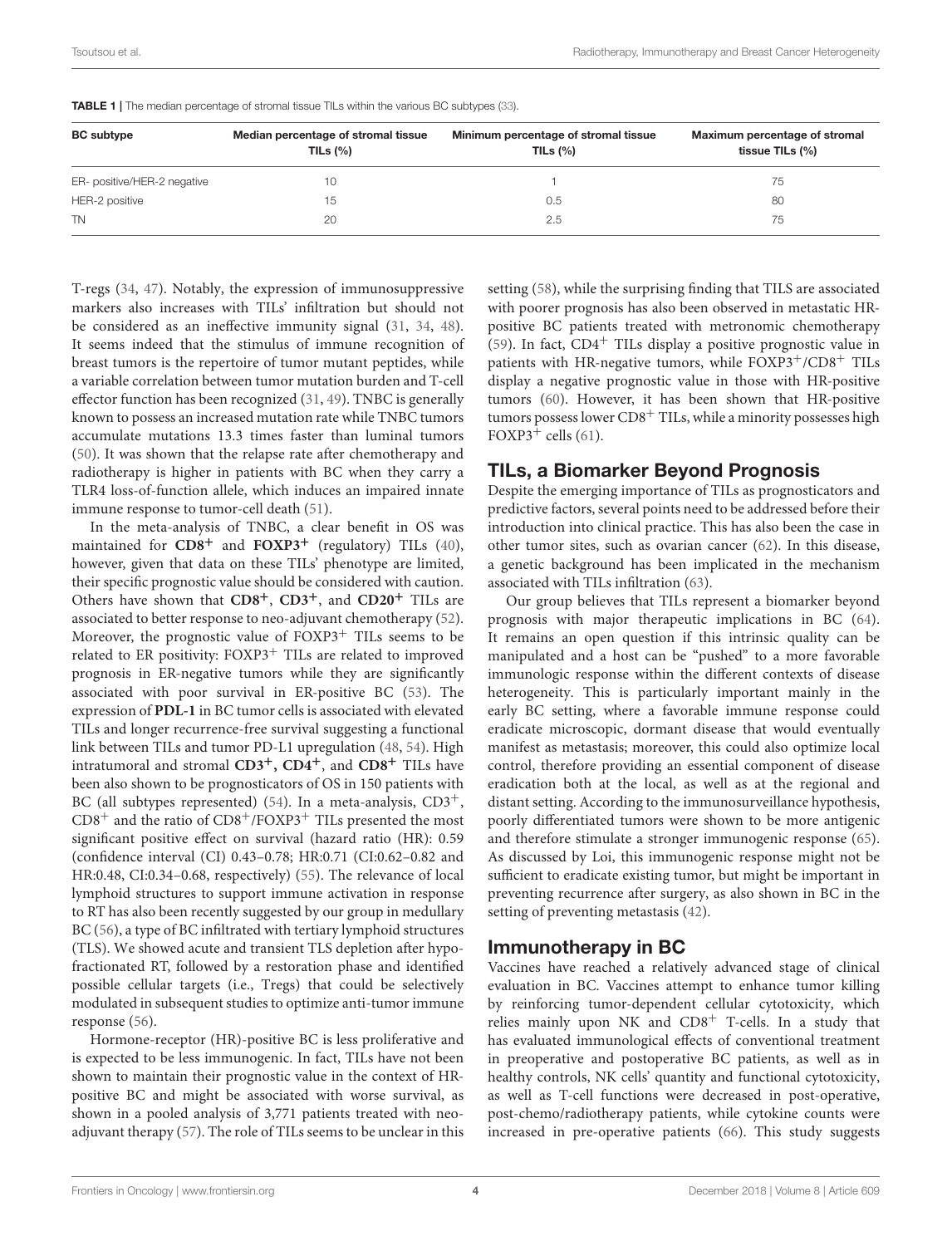| <b>BC</b> subtype           | Median percentage of stromal tissue<br>TILs $(\% )$ | Minimum percentage of stromal tissue<br>TILs $(\%)$ | Maximum percentage of stromal<br>tissue TILs (%) |
|-----------------------------|-----------------------------------------------------|-----------------------------------------------------|--------------------------------------------------|
| ER- positive/HER-2 negative | 10                                                  |                                                     | 75                                               |
| HER-2 positive              | 15                                                  | 0.5                                                 | 80                                               |
| <b>TN</b>                   | 20                                                  | 2.5                                                 | 75                                               |

<span id="page-3-0"></span>TABLE 1 | The median percentage of stromal tissue TILs within the various BC subtypes [\(33\)](#page-9-29).

T-regs [\(34,](#page-9-25) [47\)](#page-10-2). Notably, the expression of immunosuppressive markers also increases with TILs' infiltration but should not be considered as an ineffective immunity signal [\(31,](#page-9-23) [34,](#page-9-25) [48\)](#page-10-3). It seems indeed that the stimulus of immune recognition of breast tumors is the repertoire of tumor mutant peptides, while a variable correlation between tumor mutation burden and T-cell effector function has been recognized [\(31,](#page-9-23) [49\)](#page-10-4). TNBC is generally known to possess an increased mutation rate while TNBC tumors accumulate mutations 13.3 times faster than luminal tumors [\(50\)](#page-10-5). It was shown that the relapse rate after chemotherapy and radiotherapy is higher in patients with BC when they carry a TLR4 loss-of-function allele, which induces an impaired innate immune response to tumor-cell death [\(51\)](#page-10-6).

In the meta-analysis of TNBC, a clear benefit in OS was maintained for **CD8**<sup>+</sup> and **FOXP3**<sup>+</sup> (regulatory) TILs [\(40\)](#page-9-30), however, given that data on these TILs' phenotype are limited, their specific prognostic value should be considered with caution. Others have shown that **CD8**+, **CD3**+, and **CD20**<sup>+</sup> TILs are associated to better response to neo-adjuvant chemotherapy [\(52\)](#page-10-7). Moreover, the prognostic value of  $FOXP3<sup>+</sup>$  TILs seems to be related to ER positivity: FOXP3<sup>+</sup> TILs are related to improved prognosis in ER-negative tumors while they are significantly associated with poor survival in ER-positive BC [\(53\)](#page-10-8). The expression of **PDL-1** in BC tumor cells is associated with elevated TILs and longer recurrence-free survival suggesting a functional link between TILs and tumor PD-L1 upregulation [\(48,](#page-10-3) [54\)](#page-10-9). High intratumoral and stromal **CD3**+**, CD4**+, and **CD8**<sup>+</sup> TILs have been also shown to be prognosticators of OS in 150 patients with BC (all subtypes represented) [\(54\)](#page-10-9). In a meta-analysis, CD3<sup>+</sup>,  $CD8^+$  and the ratio of  $CD8^+/FOXP3^+$  TILs presented the most significant positive effect on survival (hazard ratio (HR): 0.59 (confidence interval (CI) 0.43–0.78; HR:0.71 (CI:0.62–0.82 and HR:0.48, CI:0.34–0.68, respectively) [\(55\)](#page-10-10). The relevance of local lymphoid structures to support immune activation in response to RT has also been recently suggested by our group in medullary BC [\(56\)](#page-10-11), a type of BC infiltrated with tertiary lymphoid structures (TLS). We showed acute and transient TLS depletion after hypofractionated RT, followed by a restoration phase and identified possible cellular targets (i.e., Tregs) that could be selectively modulated in subsequent studies to optimize anti-tumor immune response [\(56\)](#page-10-11).

Hormone-receptor (HR)-positive BC is less proliferative and is expected to be less immunogenic. In fact, TILs have not been shown to maintain their prognostic value in the context of HRpositive BC and might be associated with worse survival, as shown in a pooled analysis of 3,771 patients treated with neoadjuvant therapy [\(57\)](#page-10-12). The role of TILs seems to be unclear in this setting [\(58\)](#page-10-13), while the surprising finding that TILS are associated with poorer prognosis has also been observed in metastatic HRpositive BC patients treated with metronomic chemotherapy [\(59\)](#page-10-14). In fact,  $CD4<sup>+</sup>$  TILs display a positive prognostic value in patients with HR-negative tumors, while FOXP3+/CD8+ TILs display a negative prognostic value in those with HR-positive tumors [\(60\)](#page-10-15). However, it has been shown that HR-positive tumors possess lower  $CD8<sup>+</sup>$  TILs, while a minority possesses high FOXP3<sup>+</sup> cells  $(61)$ .

#### TILs, a Biomarker Beyond Prognosis

Despite the emerging importance of TILs as prognosticators and predictive factors, several points need to be addressed before their introduction into clinical practice. This has also been the case in other tumor sites, such as ovarian cancer [\(62\)](#page-10-17). In this disease, a genetic background has been implicated in the mechanism associated with TILs infiltration [\(63\)](#page-10-18).

Our group believes that TILs represent a biomarker beyond prognosis with major therapeutic implications in BC [\(64\)](#page-10-19). It remains an open question if this intrinsic quality can be manipulated and a host can be "pushed" to a more favorable immunologic response within the different contexts of disease heterogeneity. This is particularly important mainly in the early BC setting, where a favorable immune response could eradicate microscopic, dormant disease that would eventually manifest as metastasis; moreover, this could also optimize local control, therefore providing an essential component of disease eradication both at the local, as well as at the regional and distant setting. According to the immunosurveillance hypothesis, poorly differentiated tumors were shown to be more antigenic and therefore stimulate a stronger immunogenic response [\(65\)](#page-10-20). As discussed by Loi, this immunogenic response might not be sufficient to eradicate existing tumor, but might be important in preventing recurrence after surgery, as also shown in BC in the setting of preventing metastasis [\(42\)](#page-9-33).

#### Immunotherapy in BC

Vaccines have reached a relatively advanced stage of clinical evaluation in BC. Vaccines attempt to enhance tumor killing by reinforcing tumor-dependent cellular cytotoxicity, which relies mainly upon NK and  $CD8<sup>+</sup>$  T-cells. In a study that has evaluated immunological effects of conventional treatment in preoperative and postoperative BC patients, as well as in healthy controls, NK cells' quantity and functional cytotoxicity, as well as T-cell functions were decreased in post-operative, post-chemo/radiotherapy patients, while cytokine counts were increased in pre-operative patients [\(66\)](#page-10-21). This study suggests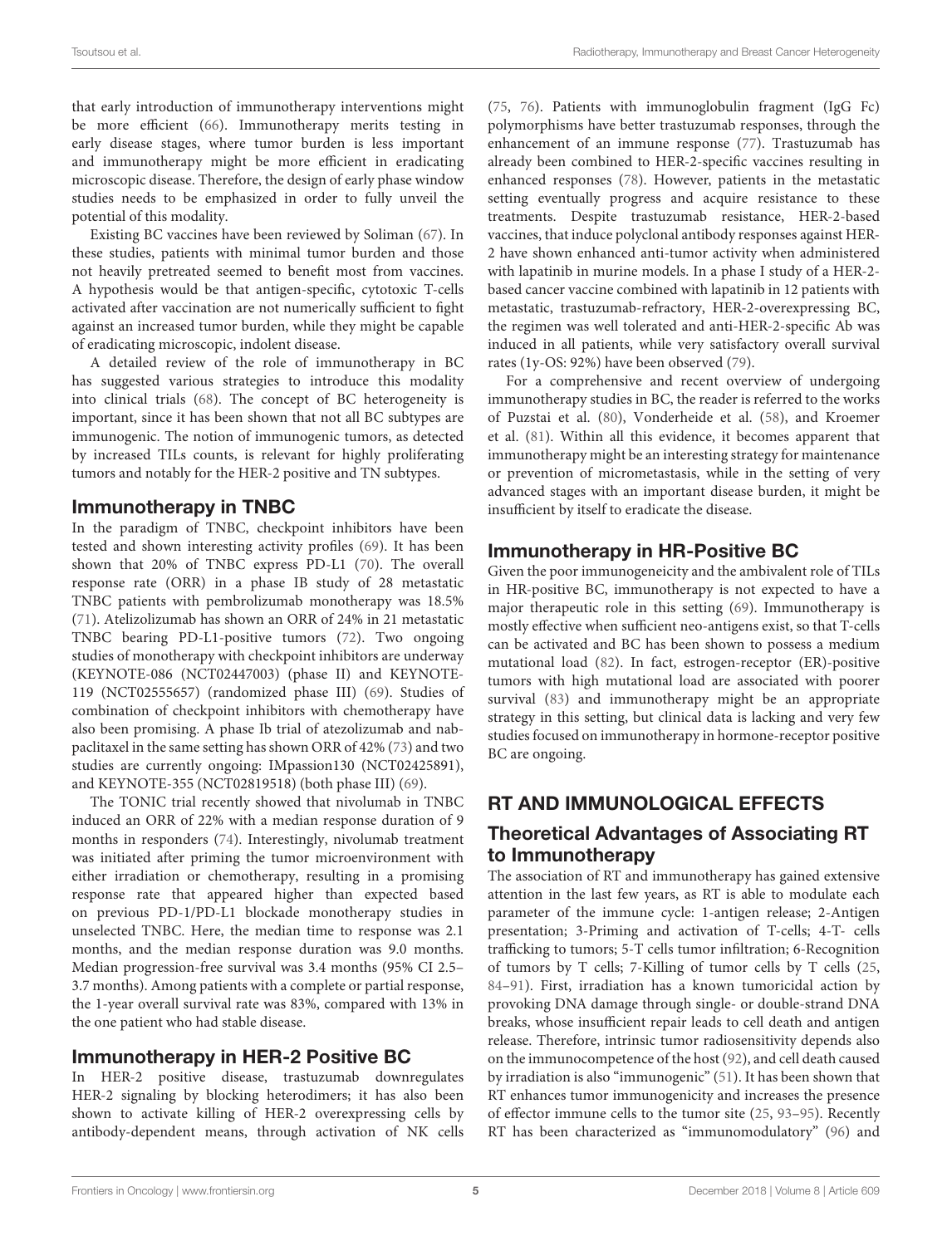that early introduction of immunotherapy interventions might be more efficient [\(66\)](#page-10-21). Immunotherapy merits testing in early disease stages, where tumor burden is less important and immunotherapy might be more efficient in eradicating microscopic disease. Therefore, the design of early phase window studies needs to be emphasized in order to fully unveil the potential of this modality.

Existing BC vaccines have been reviewed by Soliman [\(67\)](#page-10-22). In these studies, patients with minimal tumor burden and those not heavily pretreated seemed to benefit most from vaccines. A hypothesis would be that antigen-specific, cytotoxic T-cells activated after vaccination are not numerically sufficient to fight against an increased tumor burden, while they might be capable of eradicating microscopic, indolent disease.

A detailed review of the role of immunotherapy in BC has suggested various strategies to introduce this modality into clinical trials [\(68\)](#page-10-23). The concept of BC heterogeneity is important, since it has been shown that not all BC subtypes are immunogenic. The notion of immunogenic tumors, as detected by increased TILs counts, is relevant for highly proliferating tumors and notably for the HER-2 positive and TN subtypes.

#### Immunotherapy in TNBC

In the paradigm of TNBC, checkpoint inhibitors have been tested and shown interesting activity profiles [\(69\)](#page-10-24). It has been shown that 20% of TNBC express PD-L1 [\(70\)](#page-10-25). The overall response rate (ORR) in a phase IB study of 28 metastatic TNBC patients with pembrolizumab monotherapy was 18.5% [\(71\)](#page-10-26). Atelizolizumab has shown an ORR of 24% in 21 metastatic TNBC bearing PD-L1-positive tumors [\(72\)](#page-10-27). Two ongoing studies of monotherapy with checkpoint inhibitors are underway (KEYNOTE-086 (NCT02447003) (phase II) and KEYNOTE-119 (NCT02555657) (randomized phase III) [\(69\)](#page-10-24). Studies of combination of checkpoint inhibitors with chemotherapy have also been promising. A phase Ib trial of atezolizumab and nabpaclitaxel in the same setting has shown ORR of 42% [\(73\)](#page-10-28) and two studies are currently ongoing: IMpassion130 (NCT02425891), and KEYNOTE-355 (NCT02819518) (both phase III) [\(69\)](#page-10-24).

The TONIC trial recently showed that nivolumab in TNBC induced an ORR of 22% with a median response duration of 9 months in responders [\(74\)](#page-10-29). Interestingly, nivolumab treatment was initiated after priming the tumor microenvironment with either irradiation or chemotherapy, resulting in a promising response rate that appeared higher than expected based on previous PD-1/PD-L1 blockade monotherapy studies in unselected TNBC. Here, the median time to response was 2.1 months, and the median response duration was 9.0 months. Median progression-free survival was 3.4 months (95% CI 2.5– 3.7 months). Among patients with a complete or partial response, the 1-year overall survival rate was 83%, compared with 13% in the one patient who had stable disease.

#### Immunotherapy in HER-2 Positive BC

In HER-2 positive disease, trastuzumab downregulates HER-2 signaling by blocking heterodimers; it has also been shown to activate killing of HER-2 overexpressing cells by antibody-dependent means, through activation of NK cells [\(75,](#page-10-30) [76\)](#page-10-31). Patients with immunoglobulin fragment (IgG Fc) polymorphisms have better trastuzumab responses, through the enhancement of an immune response [\(77\)](#page-10-32). Trastuzumab has already been combined to HER-2-specific vaccines resulting in enhanced responses [\(78\)](#page-10-33). However, patients in the metastatic setting eventually progress and acquire resistance to these treatments. Despite trastuzumab resistance, HER-2-based vaccines, that induce polyclonal antibody responses against HER-2 have shown enhanced anti-tumor activity when administered with lapatinib in murine models. In a phase I study of a HER-2 based cancer vaccine combined with lapatinib in 12 patients with metastatic, trastuzumab-refractory, HER-2-overexpressing BC, the regimen was well tolerated and anti-HER-2-specific Ab was induced in all patients, while very satisfactory overall survival rates (1y-OS: 92%) have been observed [\(79\)](#page-10-34).

For a comprehensive and recent overview of undergoing immunotherapy studies in BC, the reader is referred to the works of Puzstai et al. [\(80\)](#page-10-35), Vonderheide et al. [\(58\)](#page-10-13), and Kroemer et al. [\(81\)](#page-11-0). Within all this evidence, it becomes apparent that immunotherapy might be an interesting strategy for maintenance or prevention of micrometastasis, while in the setting of very advanced stages with an important disease burden, it might be insufficient by itself to eradicate the disease.

## Immunotherapy in HR-Positive BC

Given the poor immunogeneicity and the ambivalent role of TILs in HR-positive BC, immunotherapy is not expected to have a major therapeutic role in this setting [\(69\)](#page-10-24). Immunotherapy is mostly effective when sufficient neo-antigens exist, so that T-cells can be activated and BC has been shown to possess a medium mutational load [\(82\)](#page-11-1). In fact, estrogen-receptor (ER)-positive tumors with high mutational load are associated with poorer survival [\(83\)](#page-11-2) and immunotherapy might be an appropriate strategy in this setting, but clinical data is lacking and very few studies focused on immunotherapy in hormone-receptor positive BC are ongoing.

# RT AND IMMUNOLOGICAL EFFECTS

## Theoretical Advantages of Associating RT to Immunotherapy

The association of RT and immunotherapy has gained extensive attention in the last few years, as RT is able to modulate each parameter of the immune cycle: 1-antigen release; 2-Antigen presentation; 3-Priming and activation of T-cells; 4-T- cells trafficking to tumors; 5-T cells tumor infiltration; 6-Recognition of tumors by T cells; 7-Killing of tumor cells by T cells [\(25,](#page-9-17) [84](#page-11-3)[–91\)](#page-11-4). First, irradiation has a known tumoricidal action by provoking DNA damage through single- or double-strand DNA breaks, whose insufficient repair leads to cell death and antigen release. Therefore, intrinsic tumor radiosensitivity depends also on the immunocompetence of the host [\(92\)](#page-11-5), and cell death caused by irradiation is also "immunogenic" [\(51\)](#page-10-6). It has been shown that RT enhances tumor immunogenicity and increases the presence of effector immune cells to the tumor site [\(25,](#page-9-17) [93](#page-11-6)[–95\)](#page-11-7). Recently RT has been characterized as "immunomodulatory" [\(96\)](#page-11-8) and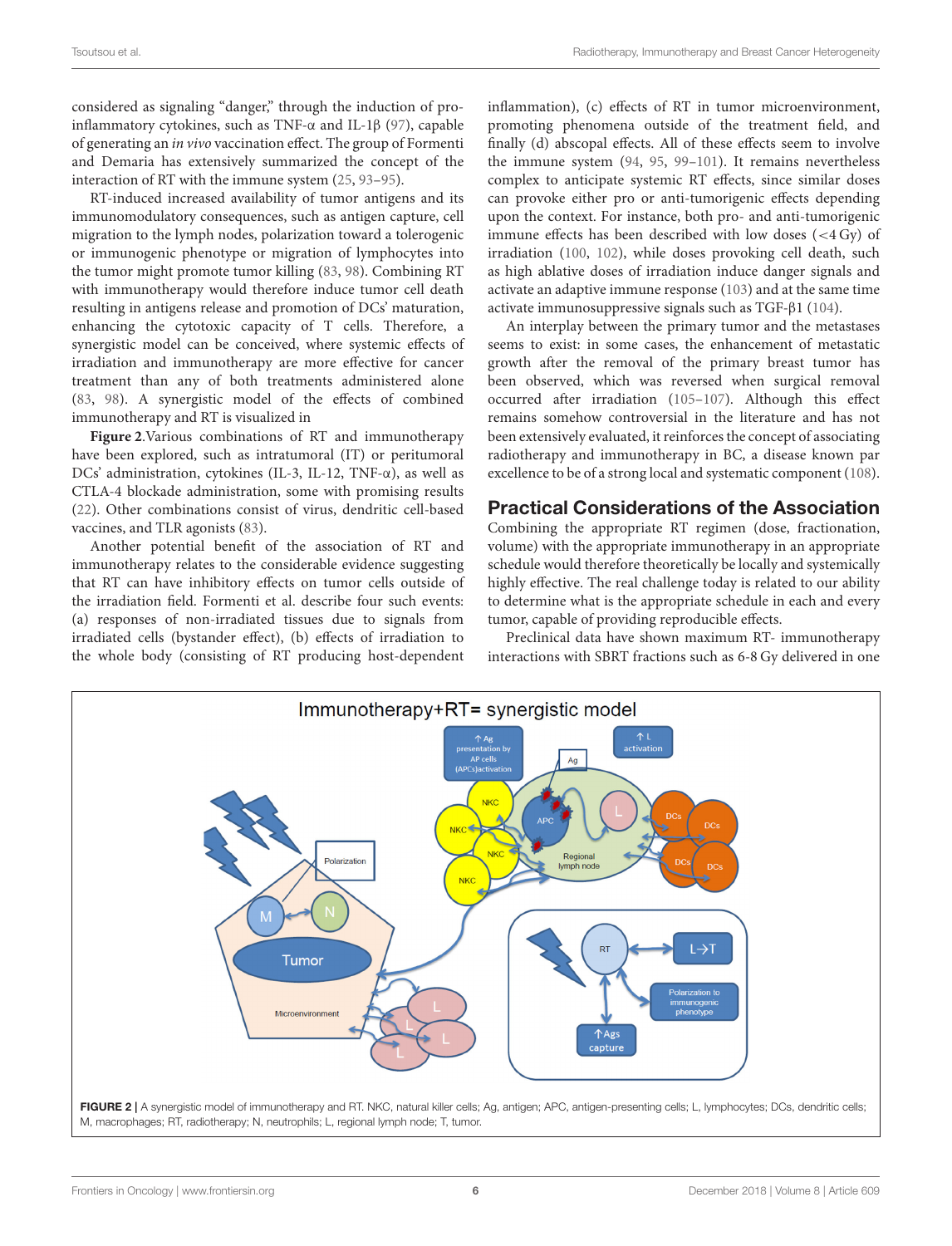considered as signaling "danger," through the induction of proinflammatory cytokines, such as TNF-α and IL-1β [\(97\)](#page-11-9), capable of generating an in vivo vaccination effect. The group of Formenti and Demaria has extensively summarized the concept of the interaction of RT with the immune system [\(25,](#page-9-17) [93–](#page-11-6)[95\)](#page-11-7).

RT-induced increased availability of tumor antigens and its immunomodulatory consequences, such as antigen capture, cell migration to the lymph nodes, polarization toward a tolerogenic or immunogenic phenotype or migration of lymphocytes into the tumor might promote tumor killing [\(83,](#page-11-2) [98\)](#page-11-10). Combining RT with immunotherapy would therefore induce tumor cell death resulting in antigens release and promotion of DCs' maturation, enhancing the cytotoxic capacity of T cells. Therefore, a synergistic model can be conceived, where systemic effects of irradiation and immunotherapy are more effective for cancer treatment than any of both treatments administered alone [\(83,](#page-11-2) [98\)](#page-11-10). A synergistic model of the effects of combined immunotherapy and RT is visualized in

**[Figure 2](#page-5-0)**.Various combinations of RT and immunotherapy have been explored, such as intratumoral (IT) or peritumoral DCs' administration, cytokines (IL-3, IL-12, TNF- $\alpha$ ), as well as CTLA-4 blockade administration, some with promising results [\(22\)](#page-9-14). Other combinations consist of virus, dendritic cell-based vaccines, and TLR agonists [\(83\)](#page-11-2).

Another potential benefit of the association of RT and immunotherapy relates to the considerable evidence suggesting that RT can have inhibitory effects on tumor cells outside of the irradiation field. Formenti et al. describe four such events: (a) responses of non-irradiated tissues due to signals from irradiated cells (bystander effect), (b) effects of irradiation to the whole body (consisting of RT producing host-dependent inflammation), (c) effects of RT in tumor microenvironment, promoting phenomena outside of the treatment field, and finally (d) abscopal effects. All of these effects seem to involve the immune system [\(94,](#page-11-11) [95,](#page-11-7) [99–](#page-11-12)[101\)](#page-11-13). It remains nevertheless complex to anticipate systemic RT effects, since similar doses can provoke either pro or anti-tumorigenic effects depending upon the context. For instance, both pro- and anti-tumorigenic immune effects has been described with low doses (<4 Gy) of irradiation [\(100,](#page-11-14) [102\)](#page-11-15), while doses provoking cell death, such as high ablative doses of irradiation induce danger signals and activate an adaptive immune response [\(103\)](#page-11-16) and at the same time activate immunosuppressive signals such as TGF-β1 [\(104\)](#page-11-17).

An interplay between the primary tumor and the metastases seems to exist: in some cases, the enhancement of metastatic growth after the removal of the primary breast tumor has been observed, which was reversed when surgical removal occurred after irradiation [\(105–](#page-11-18)[107\)](#page-11-19). Although this effect remains somehow controversial in the literature and has not been extensively evaluated, it reinforces the concept of associating radiotherapy and immunotherapy in BC, a disease known par excellence to be of a strong local and systematic component [\(108\)](#page-11-20).

#### Practical Considerations of the Association

Combining the appropriate RT regimen (dose, fractionation, volume) with the appropriate immunotherapy in an appropriate schedule would therefore theoretically be locally and systemically highly effective. The real challenge today is related to our ability to determine what is the appropriate schedule in each and every tumor, capable of providing reproducible effects.

Preclinical data have shown maximum RT- immunotherapy interactions with SBRT fractions such as 6-8 Gy delivered in one

<span id="page-5-0"></span>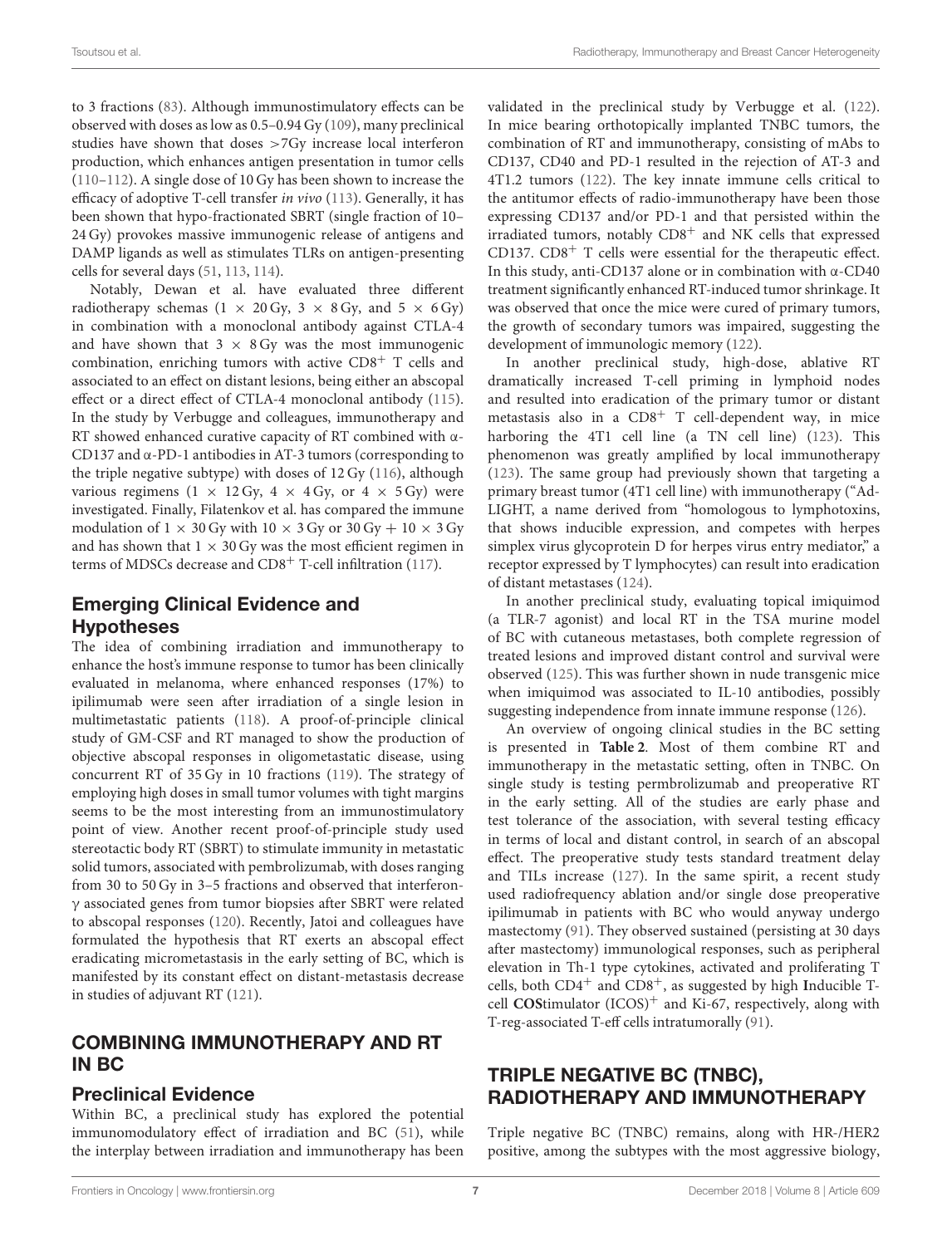to 3 fractions [\(83\)](#page-11-2). Although immunostimulatory effects can be observed with doses as low as 0.5–0.94 Gy [\(109\)](#page-11-21), many preclinical studies have shown that doses >7Gy increase local interferon production, which enhances antigen presentation in tumor cells [\(110–](#page-11-22)[112\)](#page-11-23). A single dose of 10 Gy has been shown to increase the efficacy of adoptive T-cell transfer in vivo [\(113\)](#page-11-24). Generally, it has been shown that hypo-fractionated SBRT (single fraction of 10– 24 Gy) provokes massive immunogenic release of antigens and DAMP ligands as well as stimulates TLRs on antigen-presenting cells for several days [\(51,](#page-10-6) [113,](#page-11-24) [114\)](#page-11-25).

Notably, Dewan et al. have evaluated three different radiotherapy schemas (1  $\times$  20 Gy, 3  $\times$  8 Gy, and 5  $\times$  6 Gy) in combination with a monoclonal antibody against CTLA-4 and have shown that  $3 \times 8$  Gy was the most immunogenic combination, enriching tumors with active CD8<sup>+</sup> T cells and associated to an effect on distant lesions, being either an abscopal effect or a direct effect of CTLA-4 monoclonal antibody [\(115\)](#page-11-26). In the study by Verbugge and colleagues, immunotherapy and RT showed enhanced curative capacity of RT combined with α-CD137 and α-PD-1 antibodies in AT-3 tumors (corresponding to the triple negative subtype) with doses of 12 Gy [\(116\)](#page-11-27), although various regimens  $(1 \times 12 \text{ Gy}, 4 \times 4 \text{ Gy}, \text{ or } 4 \times 5 \text{ Gy})$  were investigated. Finally, Filatenkov et al. has compared the immune modulation of  $1 \times 30$  Gy with  $10 \times 3$  Gy or  $30$  Gy  $+$   $10 \times 3$  Gy and has shown that  $1 \times 30$  Gy was the most efficient regimen in terms of MDSCs decrease and CD8<sup>+</sup> T-cell infiltration [\(117\)](#page-11-28).

#### Emerging Clinical Evidence and Hypotheses

The idea of combining irradiation and immunotherapy to enhance the host's immune response to tumor has been clinically evaluated in melanoma, where enhanced responses (17%) to ipilimumab were seen after irradiation of a single lesion in multimetastatic patients [\(118\)](#page-11-29). A proof-of-principle clinical study of GM-CSF and RT managed to show the production of objective abscopal responses in oligometastatic disease, using concurrent RT of 35 Gy in 10 fractions [\(119\)](#page-11-30). The strategy of employing high doses in small tumor volumes with tight margins seems to be the most interesting from an immunostimulatory point of view. Another recent proof-of-principle study used stereotactic body RT (SBRT) to stimulate immunity in metastatic solid tumors, associated with pembrolizumab, with doses ranging from 30 to 50 Gy in 3–5 fractions and observed that interferonγ associated genes from tumor biopsies after SBRT were related to abscopal responses [\(120\)](#page-11-31). Recently, Jatoi and colleagues have formulated the hypothesis that RT exerts an abscopal effect eradicating micrometastasis in the early setting of BC, which is manifested by its constant effect on distant-metastasis decrease in studies of adjuvant RT [\(121\)](#page-11-32).

#### COMBINING IMMUNOTHERAPY AND RT IN BC

#### Preclinical Evidence

Within BC, a preclinical study has explored the potential immunomodulatory effect of irradiation and BC [\(51\)](#page-10-6), while the interplay between irradiation and immunotherapy has been validated in the preclinical study by Verbugge et al. [\(122\)](#page-12-0). In mice bearing orthotopically implanted TNBC tumors, the combination of RT and immunotherapy, consisting of mAbs to CD137, CD40 and PD-1 resulted in the rejection of AT-3 and 4T1.2 tumors [\(122\)](#page-12-0). The key innate immune cells critical to the antitumor effects of radio-immunotherapy have been those expressing CD137 and/or PD-1 and that persisted within the irradiated tumors, notably CD8<sup>+</sup> and NK cells that expressed CD137.  $CD8<sup>+</sup>$  T cells were essential for the therapeutic effect. In this study, anti-CD137 alone or in combination with α-CD40 treatment significantly enhanced RT-induced tumor shrinkage. It was observed that once the mice were cured of primary tumors, the growth of secondary tumors was impaired, suggesting the development of immunologic memory [\(122\)](#page-12-0).

In another preclinical study, high-dose, ablative RT dramatically increased T-cell priming in lymphoid nodes and resulted into eradication of the primary tumor or distant metastasis also in a  $CD8<sup>+</sup>$  T cell-dependent way, in mice harboring the 4T1 cell line (a TN cell line) [\(123\)](#page-12-1). This phenomenon was greatly amplified by local immunotherapy [\(123\)](#page-12-1). The same group had previously shown that targeting a primary breast tumor (4T1 cell line) with immunotherapy ("Ad-LIGHT, a name derived from "homologous to lymphotoxins, that shows inducible expression, and competes with herpes simplex virus glycoprotein D for herpes virus entry mediator," a receptor expressed by T lymphocytes) can result into eradication of distant metastases [\(124\)](#page-12-2).

In another preclinical study, evaluating topical imiquimod (a TLR-7 agonist) and local RT in the TSA murine model of BC with cutaneous metastases, both complete regression of treated lesions and improved distant control and survival were observed [\(125\)](#page-12-3). This was further shown in nude transgenic mice when imiquimod was associated to IL-10 antibodies, possibly suggesting independence from innate immune response [\(126\)](#page-12-4).

An overview of ongoing clinical studies in the BC setting is presented in **[Table 2](#page-7-0)**. Most of them combine RT and immunotherapy in the metastatic setting, often in TNBC. On single study is testing permbrolizumab and preoperative RT in the early setting. All of the studies are early phase and test tolerance of the association, with several testing efficacy in terms of local and distant control, in search of an abscopal effect. The preoperative study tests standard treatment delay and TILs increase [\(127\)](#page-12-5). In the same spirit, a recent study used radiofrequency ablation and/or single dose preoperative ipilimumab in patients with BC who would anyway undergo mastectomy [\(91\)](#page-11-4). They observed sustained (persisting at 30 days after mastectomy) immunological responses, such as peripheral elevation in Th-1 type cytokines, activated and proliferating T cells, both CD4<sup>+</sup> and CD8+, as suggested by high **I**nducible Tcell **COS**timulator (ICOS)<sup>+</sup> and Ki-67, respectively, along with T-reg-associated T-eff cells intratumorally [\(91\)](#page-11-4).

## TRIPLE NEGATIVE BC (TNBC), RADIOTHERAPY AND IMMUNOTHERAPY

Triple negative BC (TNBC) remains, along with HR-/HER2 positive, among the subtypes with the most aggressive biology,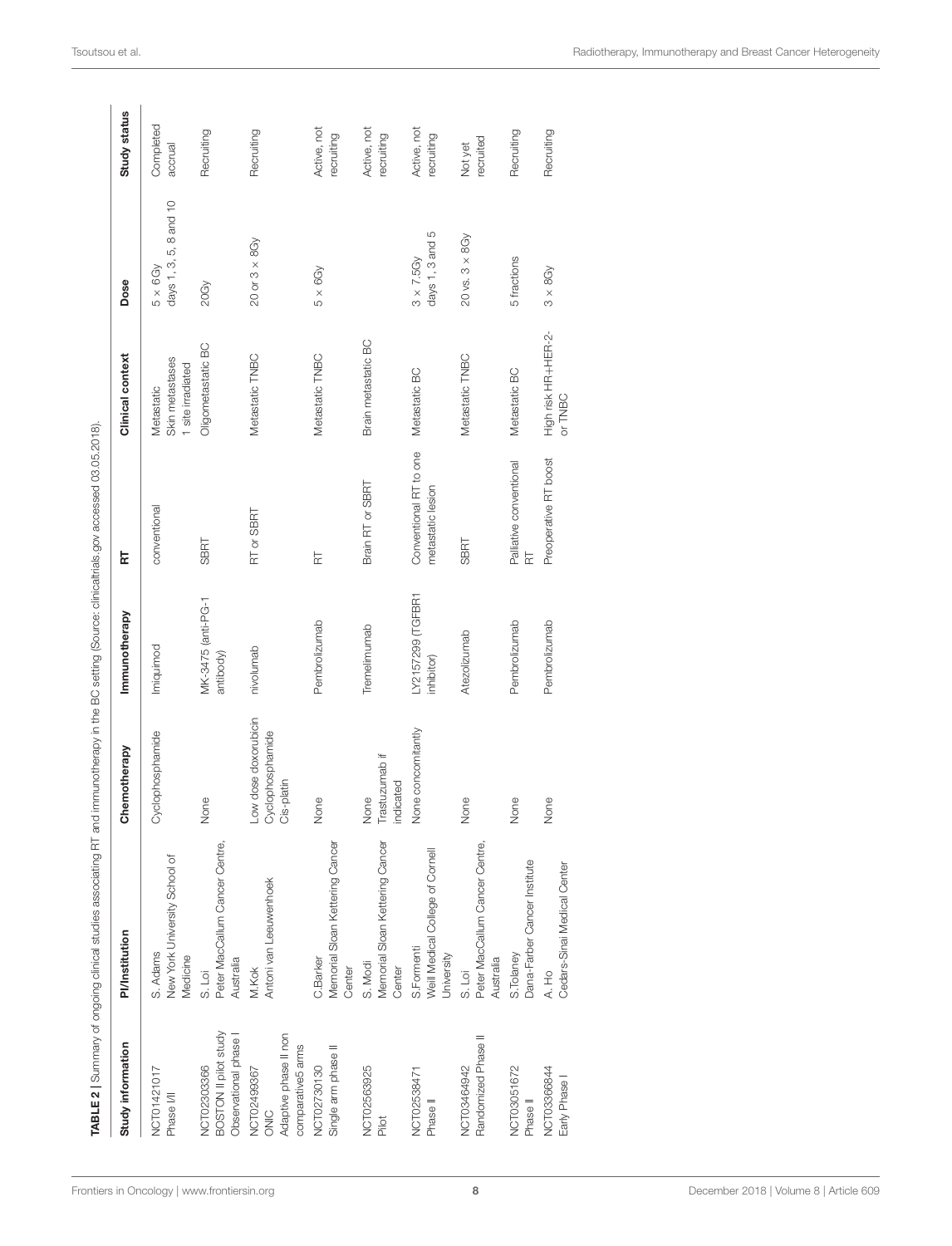| Study information                                                | <b>PI/Institution</b>                                         | Chemotherapy                                           | Immunotherapy                   | 료                                           | Clinical context                                   | Dose                                      | Study status              |
|------------------------------------------------------------------|---------------------------------------------------------------|--------------------------------------------------------|---------------------------------|---------------------------------------------|----------------------------------------------------|-------------------------------------------|---------------------------|
| NCT01421017<br>Phase I/II                                        | New York University School of<br>S. Adams<br>Medicine         | Oyclophosphamide                                       | Imiquimod                       | conventional                                | Skin metastases<br>1 site irradiated<br>Metastatic | days 1, 3, 5, 8 and 10<br>$5 \times 6$ Gy | Completed<br>accrual      |
| BOSTON II pilot study<br>Observational phase<br>NCT02303366      | Peter MacCallum Cancer Centre,<br>Australia<br>S. Loi         | None                                                   | MK-3475 (anti-PG-1<br>antibody) | <b>SBRT</b>                                 | Oligometastatic BC                                 | 20Gy                                      | Recruiting                |
| Adaptive phase II non<br>comparative5 ams<br>NCT02499367<br>ONIC | Antoni van Leeuwenhoek<br>M.Kok                               | Low dose doxorubicin<br>Cyclophosphamide<br>Cis-platin | nivolumab                       | RT or SBRT                                  | Metastatic TNBC                                    | $20$ or $3 \times 8$ Gy                   | Recruiting                |
| Single arm phase II<br>NCT02730130                               | Memorial Sloan Kettering Cancer<br>C.Barker<br>Center         | Nore                                                   | Pembrolizumab                   | F                                           | Metastatic TNBC                                    | $5 \times 6Gy$                            | Active, not<br>recruiting |
| NCT02563925<br>Pilot                                             | Memorial Sloan Kettering Cancer<br>S. Modi<br>Center          | Trastuzumab if<br>indicated<br>None                    | Tremelimumab                    | Brain RT or SBRT                            | Brain metastatic BC                                |                                           | Active, not<br>recruiting |
| NCT02538471<br>Phase II                                          | Weill Medical College of Cornell<br>S. Formenti<br>University | None concomitantly                                     | LY2157299 (TGFBR1<br>inhibitor) | Conventional RT to one<br>metastatic lesion | Metastatic BC                                      | days 1, 3 and 5<br>$3 \times 7.5$ Gy      | Active, not<br>recruiting |
| Randomized Phase II<br>NCT03464942                               | Peter MacCallum Cancer Centre,<br>Australia<br>S. Loi         | None                                                   | Atezolizumab                    | <b>SBRT</b>                                 | Metastatic TNBC                                    | $20$ vs. $3 \times 8$ Gy                  | recruited<br>Not yet      |
| NCT03051672<br>Phase <sup>II</sup>                               | Dana-Farber Cancer Institute<br>S. Tolaney                    | None                                                   | Pembrolizumab                   | Palliative conventional<br>F                | Metastatic BC                                      | 5 fractions                               | Recruiting                |
| NCT03366844<br>Early Phase                                       | Cedars-Sinai Medical Center<br>A. Ho                          | None                                                   | Pembrolizumab                   | Preoperative RT boost                       | High risk HR+HER-2-<br>or TNBC                     | $3 \times 8$ Gy                           | Recruiting                |

<span id="page-7-0"></span>TABLE 2 | Summary of ongoing clinical studies associating RT and immunotherapy in the BC setting (Source: clinicaltrials.gov accessed 03.05.2018).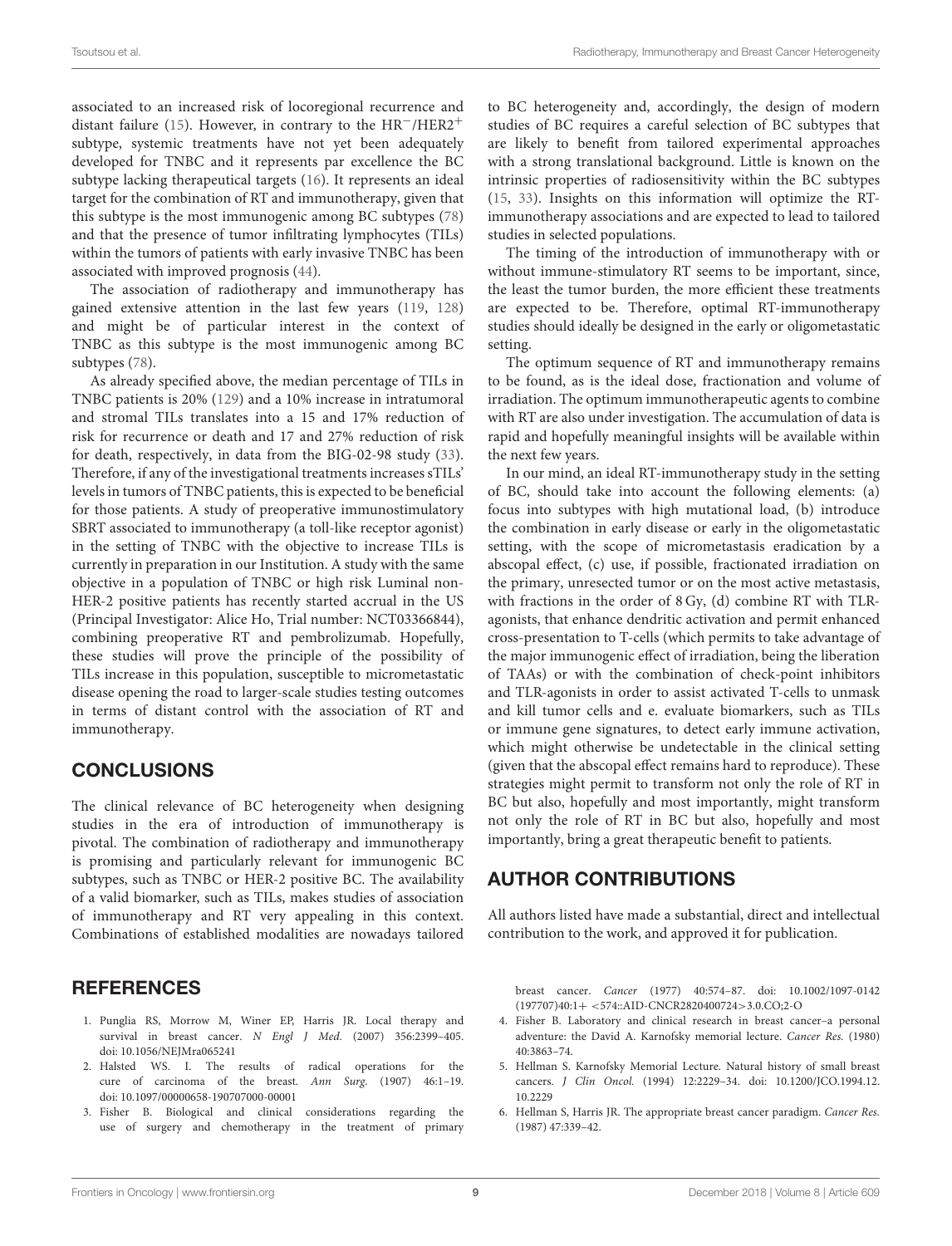associated to an increased risk of locoregional recurrence and distant failure [\(15\)](#page-9-7). However, in contrary to the HR−/HER2<sup>+</sup> subtype, systemic treatments have not yet been adequately developed for TNBC and it represents par excellence the BC subtype lacking therapeutical targets [\(16\)](#page-9-8). It represents an ideal target for the combination of RT and immunotherapy, given that this subtype is the most immunogenic among BC subtypes [\(78\)](#page-10-33) and that the presence of tumor infiltrating lymphocytes (TILs) within the tumors of patients with early invasive TNBC has been associated with improved prognosis [\(44\)](#page-9-35).

The association of radiotherapy and immunotherapy has gained extensive attention in the last few years [\(119,](#page-11-30) [128\)](#page-12-6) and might be of particular interest in the context of TNBC as this subtype is the most immunogenic among BC subtypes [\(78\)](#page-10-33).

As already specified above, the median percentage of TILs in TNBC patients is 20% [\(129\)](#page-12-7) and a 10% increase in intratumoral and stromal TILs translates into a 15 and 17% reduction of risk for recurrence or death and 17 and 27% reduction of risk for death, respectively, in data from the BIG-02-98 study [\(33\)](#page-9-29). Therefore, if any of the investigational treatments increases sTILs' levels in tumors of TNBC patients, this is expected to be beneficial for those patients. A study of preoperative immunostimulatory SBRT associated to immunotherapy (a toll-like receptor agonist) in the setting of TNBC with the objective to increase TILs is currently in preparation in our Institution. A study with the same objective in a population of TNBC or high risk Luminal non-HER-2 positive patients has recently started accrual in the US (Principal Investigator: Alice Ho, Trial number: NCT03366844), combining preoperative RT and pembrolizumab. Hopefully, these studies will prove the principle of the possibility of TILs increase in this population, susceptible to micrometastatic disease opening the road to larger-scale studies testing outcomes in terms of distant control with the association of RT and immunotherapy.

#### **CONCLUSIONS**

The clinical relevance of BC heterogeneity when designing studies in the era of introduction of immunotherapy is pivotal. The combination of radiotherapy and immunotherapy is promising and particularly relevant for immunogenic BC subtypes, such as TNBC or HER-2 positive BC. The availability of a valid biomarker, such as TILs, makes studies of association of immunotherapy and RT very appealing in this context. Combinations of established modalities are nowadays tailored

#### **REFERENCES**

- <span id="page-8-0"></span>1. Punglia RS, Morrow M, Winer EP, Harris JR. Local therapy and survival in breast cancer. N Engl J Med. (2007) 356:2399–405. doi: [10.1056/NEJMra065241](https://doi.org/10.1056/NEJMra065241)
- <span id="page-8-1"></span>2. Halsted WS. I. The results of radical operations for the cure of carcinoma of the breast. Ann Surg. (1907) 46:1–19. doi: [10.1097/00000658-190707000-00001](https://doi.org/10.1097/00000658-190707000-00001)
- <span id="page-8-2"></span>3. Fisher B. Biological and clinical considerations regarding the use of surgery and chemotherapy in the treatment of primary

to BC heterogeneity and, accordingly, the design of modern studies of BC requires a careful selection of BC subtypes that are likely to benefit from tailored experimental approaches with a strong translational background. Little is known on the intrinsic properties of radiosensitivity within the BC subtypes [\(15,](#page-9-7) [33\)](#page-9-29). Insights on this information will optimize the RTimmunotherapy associations and are expected to lead to tailored studies in selected populations.

The timing of the introduction of immunotherapy with or without immune-stimulatory RT seems to be important, since, the least the tumor burden, the more efficient these treatments are expected to be. Therefore, optimal RT-immunotherapy studies should ideally be designed in the early or oligometastatic setting.

The optimum sequence of RT and immunotherapy remains to be found, as is the ideal dose, fractionation and volume of irradiation. The optimum immunotherapeutic agents to combine with RT are also under investigation. The accumulation of data is rapid and hopefully meaningful insights will be available within the next few years.

In our mind, an ideal RT-immunotherapy study in the setting of BC, should take into account the following elements: (a) focus into subtypes with high mutational load, (b) introduce the combination in early disease or early in the oligometastatic setting, with the scope of micrometastasis eradication by a abscopal effect, (c) use, if possible, fractionated irradiation on the primary, unresected tumor or on the most active metastasis, with fractions in the order of 8 Gy, (d) combine RT with TLRagonists, that enhance dendritic activation and permit enhanced cross-presentation to T-cells (which permits to take advantage of the major immunogenic effect of irradiation, being the liberation of TAAs) or with the combination of check-point inhibitors and TLR-agonists in order to assist activated T-cells to unmask and kill tumor cells and e. evaluate biomarkers, such as TILs or immune gene signatures, to detect early immune activation, which might otherwise be undetectable in the clinical setting (given that the abscopal effect remains hard to reproduce). These strategies might permit to transform not only the role of RT in BC but also, hopefully and most importantly, might transform not only the role of RT in BC but also, hopefully and most importantly, bring a great therapeutic benefit to patients.

#### AUTHOR CONTRIBUTIONS

All authors listed have made a substantial, direct and intellectual contribution to the work, and approved it for publication.

breast cancer. Cancer [\(1977\) 40:574–87. doi: 10.1002/1097-0142](https://doi.org/10.1002/1097-0142(197707)40:1+<574::AID-CNCR2820400724>3.0.CO;2-O) (197707)40:1+ <574::AID-CNCR2820400724>3.0.CO;2-O

- <span id="page-8-3"></span>4. Fisher B. Laboratory and clinical research in breast cancer–a personal adventure: the David A. Karnofsky memorial lecture. Cancer Res. (1980) 40:3863–74.
- <span id="page-8-4"></span>5. Hellman S. Karnofsky Memorial Lecture. Natural history of small breast cancers. J Clin Oncol. [\(1994\) 12:2229–34. doi: 10.1200/JCO.1994.12.](https://doi.org/10.1200/JCO.1994.12.10.2229) 10.2229
- <span id="page-8-5"></span>6. Hellman S, Harris JR. The appropriate breast cancer paradigm. Cancer Res. (1987) 47:339–42.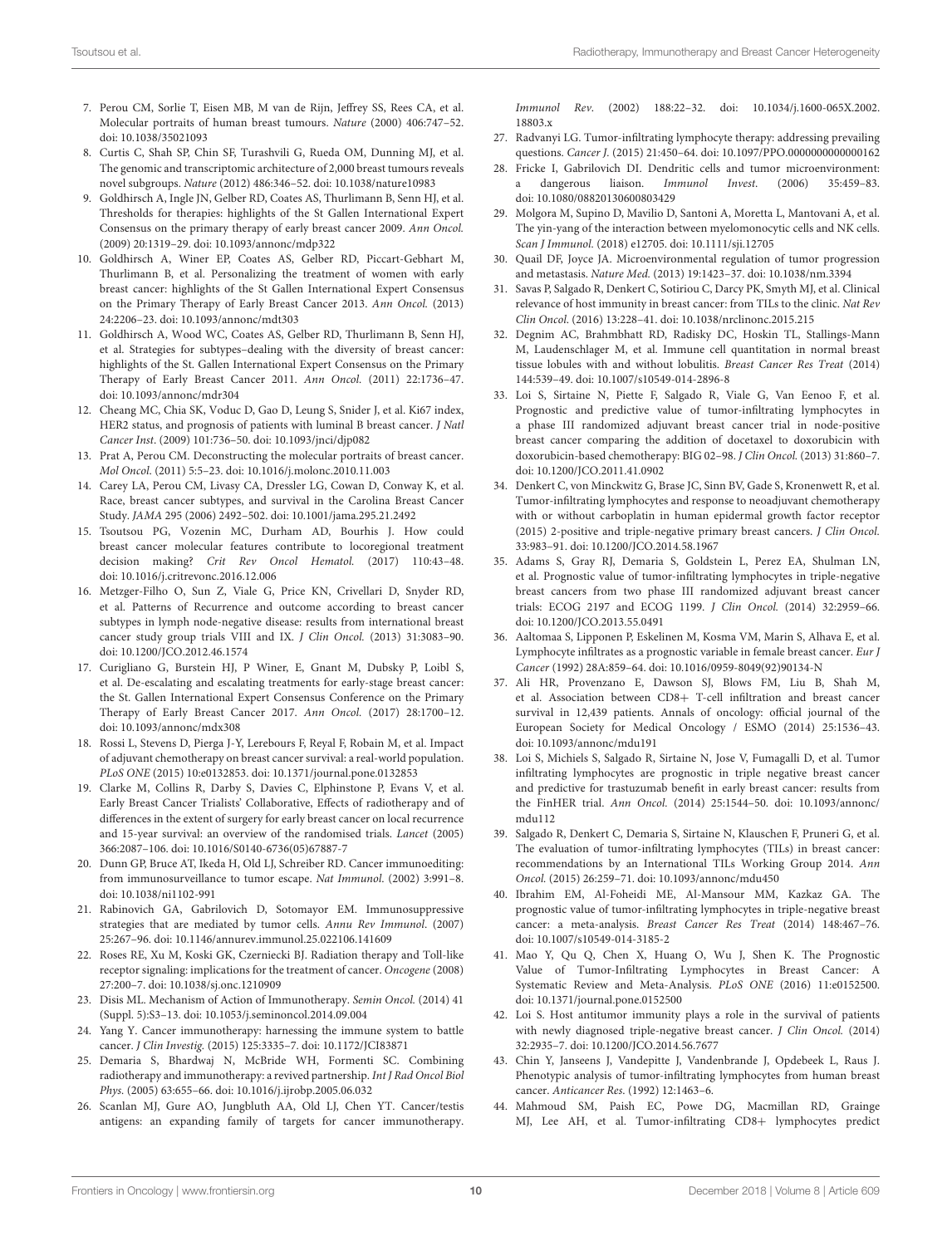- <span id="page-9-0"></span>7. Perou CM, Sorlie T, Eisen MB, M van de Rijn, Jeffrey SS, Rees CA, et al. Molecular portraits of human breast tumours. Nature (2000) 406:747–52. doi: [10.1038/35021093](https://doi.org/10.1038/35021093)
- <span id="page-9-1"></span>8. Curtis C, Shah SP, Chin SF, Turashvili G, Rueda OM, Dunning MJ, et al. The genomic and transcriptomic architecture of 2,000 breast tumours reveals novel subgroups. Nature (2012) 486:346–52. doi: [10.1038/nature10983](https://doi.org/10.1038/nature10983)
- <span id="page-9-2"></span>9. Goldhirsch A, Ingle JN, Gelber RD, Coates AS, Thurlimann B, Senn HJ, et al. Thresholds for therapies: highlights of the St Gallen International Expert Consensus on the primary therapy of early breast cancer 2009. Ann Oncol. (2009) 20:1319–29. doi: [10.1093/annonc/mdp322](https://doi.org/10.1093/annonc/mdp322)
- 10. Goldhirsch A, Winer EP, Coates AS, Gelber RD, Piccart-Gebhart M, Thurlimann B, et al. Personalizing the treatment of women with early breast cancer: highlights of the St Gallen International Expert Consensus on the Primary Therapy of Early Breast Cancer 2013. Ann Oncol. (2013) 24:2206–23. doi: [10.1093/annonc/mdt303](https://doi.org/10.1093/annonc/mdt303)
- <span id="page-9-3"></span>11. Goldhirsch A, Wood WC, Coates AS, Gelber RD, Thurlimann B, Senn HJ, et al. Strategies for subtypes–dealing with the diversity of breast cancer: highlights of the St. Gallen International Expert Consensus on the Primary Therapy of Early Breast Cancer 2011. Ann Oncol. (2011) 22:1736–47. doi: [10.1093/annonc/mdr304](https://doi.org/10.1093/annonc/mdr304)
- <span id="page-9-4"></span>12. Cheang MC, Chia SK, Voduc D, Gao D, Leung S, Snider J, et al. Ki67 index, HER2 status, and prognosis of patients with luminal B breast cancer. J Natl Cancer Inst. (2009) 101:736–50. doi: [10.1093/jnci/djp082](https://doi.org/10.1093/jnci/djp082)
- <span id="page-9-5"></span>13. Prat A, Perou CM. Deconstructing the molecular portraits of breast cancer. Mol Oncol. (2011) 5:5–23. doi: [10.1016/j.molonc.2010.11.003](https://doi.org/10.1016/j.molonc.2010.11.003)
- <span id="page-9-6"></span>14. Carey LA, Perou CM, Livasy CA, Dressler LG, Cowan D, Conway K, et al. Race, breast cancer subtypes, and survival in the Carolina Breast Cancer Study. JAMA 295 (2006) 2492–502. doi: [10.1001/jama.295.21.2492](https://doi.org/10.1001/jama.295.21.2492)
- <span id="page-9-7"></span>15. Tsoutsou PG, Vozenin MC, Durham AD, Bourhis J. How could breast cancer molecular features contribute to locoregional treatment decision making? Crit Rev Oncol Hematol. (2017) 110:43–48. doi: [10.1016/j.critrevonc.2016.12.006](https://doi.org/10.1016/j.critrevonc.2016.12.006)
- <span id="page-9-8"></span>16. Metzger-Filho O, Sun Z, Viale G, Price KN, Crivellari D, Snyder RD, et al. Patterns of Recurrence and outcome according to breast cancer subtypes in lymph node-negative disease: results from international breast cancer study group trials VIII and IX. J Clin Oncol. (2013) 31:3083–90. doi: [10.1200/JCO.2012.46.1574](https://doi.org/10.1200/JCO.2012.46.1574)
- <span id="page-9-9"></span>17. Curigliano G, Burstein HJ, P Winer, E, Gnant M, Dubsky P, Loibl S, et al. De-escalating and escalating treatments for early-stage breast cancer: the St. Gallen International Expert Consensus Conference on the Primary Therapy of Early Breast Cancer 2017. Ann Oncol. (2017) 28:1700–12. doi: [10.1093/annonc/mdx308](https://doi.org/10.1093/annonc/mdx308)
- <span id="page-9-10"></span>18. Rossi L, Stevens D, Pierga J-Y, Lerebours F, Reyal F, Robain M, et al. Impact of adjuvant chemotherapy on breast cancer survival: a real-world population. PLoS ONE (2015) 10:e0132853. doi: [10.1371/journal.pone.0132853](https://doi.org/10.1371/journal.pone.0132853)
- <span id="page-9-11"></span>19. Clarke M, Collins R, Darby S, Davies C, Elphinstone P, Evans V, et al. Early Breast Cancer Trialists' Collaborative, Effects of radiotherapy and of differences in the extent of surgery for early breast cancer on local recurrence and 15-year survival: an overview of the randomised trials. Lancet (2005) 366:2087–106. doi: [10.1016/S0140-6736\(05\)67887-7](https://doi.org/10.1016/S0140-6736(05)67887-7)
- <span id="page-9-12"></span>20. Dunn GP, Bruce AT, Ikeda H, Old LJ, Schreiber RD. Cancer immunoediting: from immunosurveillance to tumor escape. Nat Immunol. (2002) 3:991–8. doi: [10.1038/ni1102-991](https://doi.org/10.1038/ni1102-991)
- <span id="page-9-13"></span>21. Rabinovich GA, Gabrilovich D, Sotomayor EM. Immunosuppressive strategies that are mediated by tumor cells. Annu Rev Immunol. (2007) 25:267–96. doi: [10.1146/annurev.immunol.25.022106.141609](https://doi.org/10.1146/annurev.immunol.25.022106.141609)
- <span id="page-9-14"></span>22. Roses RE, Xu M, Koski GK, Czerniecki BJ. Radiation therapy and Toll-like receptor signaling: implications for the treatment of cancer. Oncogene (2008) 27:200–7. doi: [10.1038/sj.onc.1210909](https://doi.org/10.1038/sj.onc.1210909)
- <span id="page-9-15"></span>23. Disis ML. Mechanism of Action of Immunotherapy. Semin Oncol. (2014) 41 (Suppl. 5):S3–13. doi: [10.1053/j.seminoncol.2014.09.004](https://doi.org/10.1053/j.seminoncol.2014.09.004)
- <span id="page-9-16"></span>24. Yang Y. Cancer immunotherapy: harnessing the immune system to battle cancer. J Clin Investig. (2015) 125:3335–7. doi: [10.1172/JCI83871](https://doi.org/10.1172/JCI83871)
- <span id="page-9-17"></span>25. Demaria S, Bhardwaj N, McBride WH, Formenti SC. Combining radiotherapy and immunotherapy: a revived partnership. Int J Rad Oncol Biol Phys. (2005) 63:655–66. doi: [10.1016/j.ijrobp.2005.06.032](https://doi.org/10.1016/j.ijrobp.2005.06.032)
- <span id="page-9-18"></span>26. Scanlan MJ, Gure AO, Jungbluth AA, Old LJ, Chen YT. Cancer/testis antigens: an expanding family of targets for cancer immunotherapy.

Immunol Rev[. \(2002\) 188:22–32. doi: 10.1034/j.1600-065X.2002.](https://doi.org/10.1034/j.1600-065X.2002.18803.x) 18803.x

- <span id="page-9-19"></span>27. Radvanyi LG. Tumor-infiltrating lymphocyte therapy: addressing prevailing questions. Cancer J. (2015) 21:450–64. doi: [10.1097/PPO.0000000000000162](https://doi.org/10.1097/PPO.0000000000000162)
- <span id="page-9-20"></span>28. Fricke I, Gabrilovich DI. Dendritic cells and tumor microenvironment: a dangerous liaison. Immunol Invest. (2006) 35:459–83. doi: [10.1080/08820130600803429](https://doi.org/10.1080/08820130600803429)
- <span id="page-9-21"></span>29. Molgora M, Supino D, Mavilio D, Santoni A, Moretta L, Mantovani A, et al. The yin-yang of the interaction between myelomonocytic cells and NK cells. Scan J Immunol. (2018) e12705. doi: [10.1111/sji.12705](https://doi.org/10.1111/sji.12705)
- <span id="page-9-22"></span>30. Quail DF, Joyce JA. Microenvironmental regulation of tumor progression and metastasis. Nature Med. (2013) 19:1423–37. doi: [10.1038/nm.3394](https://doi.org/10.1038/nm.3394)
- <span id="page-9-23"></span>31. Savas P, Salgado R, Denkert C, Sotiriou C, Darcy PK, Smyth MJ, et al. Clinical relevance of host immunity in breast cancer: from TILs to the clinic. Nat Rev Clin Oncol. (2016) 13:228–41. doi: [10.1038/nrclinonc.2015.215](https://doi.org/10.1038/nrclinonc.2015.215)
- <span id="page-9-24"></span>32. Degnim AC, Brahmbhatt RD, Radisky DC, Hoskin TL, Stallings-Mann M, Laudenschlager M, et al. Immune cell quantitation in normal breast tissue lobules with and without lobulitis. Breast Cancer Res Treat (2014) 144:539–49. doi: [10.1007/s10549-014-2896-8](https://doi.org/10.1007/s10549-014-2896-8)
- <span id="page-9-29"></span>33. Loi S, Sirtaine N, Piette F, Salgado R, Viale G, Van Eenoo F, et al. Prognostic and predictive value of tumor-infiltrating lymphocytes in a phase III randomized adjuvant breast cancer trial in node-positive breast cancer comparing the addition of docetaxel to doxorubicin with doxorubicin-based chemotherapy: BIG 02–98. J Clin Oncol. (2013) 31:860–7. doi: [10.1200/JCO.2011.41.0902](https://doi.org/10.1200/JCO.2011.41.0902)
- <span id="page-9-25"></span>34. Denkert C, von Minckwitz G, Brase JC, Sinn BV, Gade S, Kronenwett R, et al. Tumor-infiltrating lymphocytes and response to neoadjuvant chemotherapy with or without carboplatin in human epidermal growth factor receptor (2015) 2-positive and triple-negative primary breast cancers. J Clin Oncol. 33:983–91. doi: [10.1200/JCO.2014.58.1967](https://doi.org/10.1200/JCO.2014.58.1967)
- <span id="page-9-26"></span>35. Adams S, Gray RJ, Demaria S, Goldstein L, Perez EA, Shulman LN, et al. Prognostic value of tumor-infiltrating lymphocytes in triple-negative breast cancers from two phase III randomized adjuvant breast cancer trials: ECOG 2197 and ECOG 1199. J Clin Oncol. (2014) 32:2959–66. doi: [10.1200/JCO.2013.55.0491](https://doi.org/10.1200/JCO.2013.55.0491)
- <span id="page-9-27"></span>36. Aaltomaa S, Lipponen P, Eskelinen M, Kosma VM, Marin S, Alhava E, et al. Lymphocyte infiltrates as a prognostic variable in female breast cancer. Eur J Cancer (1992) 28A:859–64. doi: [10.1016/0959-8049\(92\)90134-N](https://doi.org/10.1016/0959-8049(92)90134-N)
- <span id="page-9-32"></span>37. Ali HR, Provenzano E, Dawson SJ, Blows FM, Liu B, Shah M, et al. Association between CD8+ T-cell infiltration and breast cancer survival in 12,439 patients. Annals of oncology: official journal of the European Society for Medical Oncology / ESMO (2014) 25:1536–43. doi: [10.1093/annonc/mdu191](https://doi.org/10.1093/annonc/mdu191)
- 38. Loi S, Michiels S, Salgado R, Sirtaine N, Jose V, Fumagalli D, et al. Tumor infiltrating lymphocytes are prognostic in triple negative breast cancer and predictive for trastuzumab benefit in early breast cancer: results from the FinHER trial. Ann Oncol. [\(2014\) 25:1544–50. doi: 10.1093/annonc/](https://doi.org/10.1093/annonc/mdu112) mdu112
- <span id="page-9-28"></span>39. Salgado R, Denkert C, Demaria S, Sirtaine N, Klauschen F, Pruneri G, et al. The evaluation of tumor-infiltrating lymphocytes (TILs) in breast cancer: recommendations by an International TILs Working Group 2014. Ann Oncol. (2015) 26:259–71. doi: [10.1093/annonc/mdu450](https://doi.org/10.1093/annonc/mdu450)
- <span id="page-9-30"></span>40. Ibrahim EM, Al-Foheidi ME, Al-Mansour MM, Kazkaz GA. The prognostic value of tumor-infiltrating lymphocytes in triple-negative breast cancer: a meta-analysis. Breast Cancer Res Treat (2014) 148:467–76. doi: [10.1007/s10549-014-3185-2](https://doi.org/10.1007/s10549-014-3185-2)
- <span id="page-9-31"></span>41. Mao Y, Qu Q, Chen X, Huang O, Wu J, Shen K. The Prognostic Value of Tumor-Infiltrating Lymphocytes in Breast Cancer: A Systematic Review and Meta-Analysis. PLoS ONE (2016) 11:e0152500. doi: [10.1371/journal.pone.0152500](https://doi.org/10.1371/journal.pone.0152500)
- <span id="page-9-33"></span>42. Loi S. Host antitumor immunity plays a role in the survival of patients with newly diagnosed triple-negative breast cancer. *J Clin Oncol.* (2014) 32:2935–7. doi: [10.1200/JCO.2014.56.7677](https://doi.org/10.1200/JCO.2014.56.7677)
- <span id="page-9-34"></span>43. Chin Y, Janseens J, Vandepitte J, Vandenbrande J, Opdebeek L, Raus J. Phenotypic analysis of tumor-infiltrating lymphocytes from human breast cancer. Anticancer Res. (1992) 12:1463–6.
- <span id="page-9-35"></span>44. Mahmoud SM, Paish EC, Powe DG, Macmillan RD, Grainge MJ, Lee AH, et al. Tumor-infiltrating CD8+ lymphocytes predict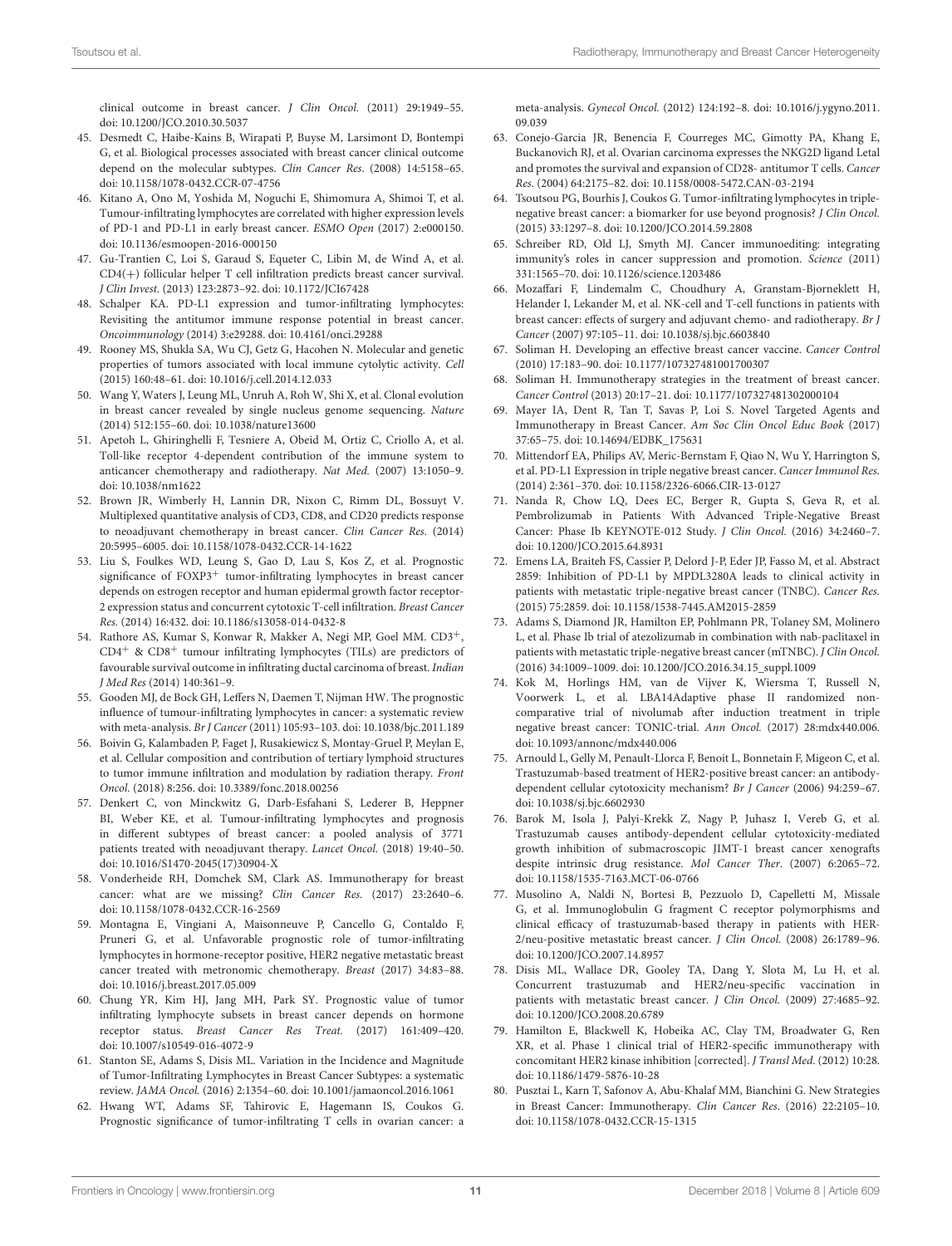clinical outcome in breast cancer. J Clin Oncol. (2011) 29:1949–55. doi: [10.1200/JCO.2010.30.5037](https://doi.org/10.1200/JCO.2010.30.5037)

- <span id="page-10-0"></span>45. Desmedt C, Haibe-Kains B, Wirapati P, Buyse M, Larsimont D, Bontempi G, et al. Biological processes associated with breast cancer clinical outcome depend on the molecular subtypes. Clin Cancer Res. (2008) 14:5158–65. doi: [10.1158/1078-0432.CCR-07-4756](https://doi.org/10.1158/1078-0432.CCR-07-4756)
- <span id="page-10-1"></span>46. Kitano A, Ono M, Yoshida M, Noguchi E, Shimomura A, Shimoi T, et al. Tumour-infiltrating lymphocytes are correlated with higher expression levels of PD-1 and PD-L1 in early breast cancer. ESMO Open (2017) 2:e000150. doi: [10.1136/esmoopen-2016-000150](https://doi.org/10.1136/esmoopen-2016-000150)
- <span id="page-10-2"></span>47. Gu-Trantien C, Loi S, Garaud S, Equeter C, Libin M, de Wind A, et al. CD4(+) follicular helper T cell infiltration predicts breast cancer survival. J Clin Invest. (2013) 123:2873–92. doi: [10.1172/JCI67428](https://doi.org/10.1172/JCI67428)
- <span id="page-10-3"></span>48. Schalper KA. PD-L1 expression and tumor-infiltrating lymphocytes: Revisiting the antitumor immune response potential in breast cancer. Oncoimmunology (2014) 3:e29288. doi: [10.4161/onci.29288](https://doi.org/10.4161/onci.29288)
- <span id="page-10-4"></span>49. Rooney MS, Shukla SA, Wu CJ, Getz G, Hacohen N. Molecular and genetic properties of tumors associated with local immune cytolytic activity. Cell (2015) 160:48–61. doi: [10.1016/j.cell.2014.12.033](https://doi.org/10.1016/j.cell.2014.12.033)
- <span id="page-10-5"></span>50. Wang Y, Waters J, Leung ML, Unruh A, Roh W, Shi X, et al. Clonal evolution in breast cancer revealed by single nucleus genome sequencing. Nature (2014) 512:155–60. doi: [10.1038/nature13600](https://doi.org/10.1038/nature13600)
- <span id="page-10-6"></span>51. Apetoh L, Ghiringhelli F, Tesniere A, Obeid M, Ortiz C, Criollo A, et al. Toll-like receptor 4-dependent contribution of the immune system to anticancer chemotherapy and radiotherapy. Nat Med. (2007) 13:1050–9. doi: [10.1038/nm1622](https://doi.org/10.1038/nm1622)
- <span id="page-10-7"></span>52. Brown JR, Wimberly H, Lannin DR, Nixon C, Rimm DL, Bossuyt V. Multiplexed quantitative analysis of CD3, CD8, and CD20 predicts response to neoadjuvant chemotherapy in breast cancer. Clin Cancer Res. (2014) 20:5995–6005. doi: [10.1158/1078-0432.CCR-14-1622](https://doi.org/10.1158/1078-0432.CCR-14-1622)
- <span id="page-10-8"></span>53. Liu S, Foulkes WD, Leung S, Gao D, Lau S, Kos Z, et al. Prognostic significance of FOXP3<sup>+</sup> tumor-infiltrating lymphocytes in breast cancer depends on estrogen receptor and human epidermal growth factor receptor-2 expression status and concurrent cytotoxic T-cell infiltration. Breast Cancer Res. (2014) 16:432. doi: [10.1186/s13058-014-0432-8](https://doi.org/10.1186/s13058-014-0432-8)
- <span id="page-10-9"></span>54. Rathore AS, Kumar S, Konwar R, Makker A, Negi MP, Goel MM. CD3+,  $CD4^+$  &  $CD8^+$  tumour infiltrating lymphocytes (TILs) are predictors of favourable survival outcome in infiltrating ductal carcinoma of breast. Indian J Med Res (2014) 140:361–9.
- <span id="page-10-10"></span>55. Gooden MJ, de Bock GH, Leffers N, Daemen T, Nijman HW. The prognostic influence of tumour-infiltrating lymphocytes in cancer: a systematic review with meta-analysis. Br J Cancer (2011) 105:93–103. doi: [10.1038/bjc.2011.189](https://doi.org/10.1038/bjc.2011.189)
- <span id="page-10-11"></span>56. Boivin G, Kalambaden P, Faget J, Rusakiewicz S, Montay-Gruel P, Meylan E, et al. Cellular composition and contribution of tertiary lymphoid structures to tumor immune infiltration and modulation by radiation therapy. Front Oncol. (2018) 8:256. doi: [10.3389/fonc.2018.00256](https://doi.org/10.3389/fonc.2018.00256)
- <span id="page-10-12"></span>57. Denkert C, von Minckwitz G, Darb-Esfahani S, Lederer B, Heppner BI, Weber KE, et al. Tumour-infiltrating lymphocytes and prognosis in different subtypes of breast cancer: a pooled analysis of 3771 patients treated with neoadjuvant therapy. Lancet Oncol. (2018) 19:40–50. doi: [10.1016/S1470-2045\(17\)30904-X](https://doi.org/10.1016/S1470-2045(17)30904-X)
- <span id="page-10-13"></span>58. Vonderheide RH, Domchek SM, Clark AS. Immunotherapy for breast cancer: what are we missing? Clin Cancer Res. (2017) 23:2640–6. doi: [10.1158/1078-0432.CCR-16-2569](https://doi.org/10.1158/1078-0432.CCR-16-2569)
- <span id="page-10-14"></span>59. Montagna E, Vingiani A, Maisonneuve P, Cancello G, Contaldo F, Pruneri G, et al. Unfavorable prognostic role of tumor-infiltrating lymphocytes in hormone-receptor positive, HER2 negative metastatic breast cancer treated with metronomic chemotherapy. Breast (2017) 34:83–88. doi: [10.1016/j.breast.2017.05.009](https://doi.org/10.1016/j.breast.2017.05.009)
- <span id="page-10-15"></span>60. Chung YR, Kim HJ, Jang MH, Park SY. Prognostic value of tumor infiltrating lymphocyte subsets in breast cancer depends on hormone receptor status. Breast Cancer Res Treat. (2017) 161:409–420. doi: [10.1007/s10549-016-4072-9](https://doi.org/10.1007/s10549-016-4072-9)
- <span id="page-10-16"></span>61. Stanton SE, Adams S, Disis ML. Variation in the Incidence and Magnitude of Tumor-Infiltrating Lymphocytes in Breast Cancer Subtypes: a systematic review. JAMA Oncol. (2016) 2:1354–60. doi: [10.1001/jamaoncol.2016.1061](https://doi.org/10.1001/jamaoncol.2016.1061)
- <span id="page-10-17"></span>62. Hwang WT, Adams SF, Tahirovic E, Hagemann IS, Coukos G. Prognostic significance of tumor-infiltrating T cells in ovarian cancer: a

meta-analysis. Gynecol Oncol. [\(2012\) 124:192–8. doi: 10.1016/j.ygyno.2011.](https://doi.org/10.1016/j.ygyno.2011.09.039) 09.039

- <span id="page-10-18"></span>63. Conejo-Garcia JR, Benencia F, Courreges MC, Gimotty PA, Khang E, Buckanovich RJ, et al. Ovarian carcinoma expresses the NKG2D ligand Letal and promotes the survival and expansion of CD28- antitumor T cells. Cancer Res. (2004) 64:2175–82. doi: [10.1158/0008-5472.CAN-03-2194](https://doi.org/10.1158/0008-5472.CAN-03-2194)
- <span id="page-10-19"></span>64. Tsoutsou PG, Bourhis J, Coukos G. Tumor-infiltrating lymphocytes in triplenegative breast cancer: a biomarker for use beyond prognosis? J Clin Oncol. (2015) 33:1297–8. doi: [10.1200/JCO.2014.59.2808](https://doi.org/10.1200/JCO.2014.59.2808)
- <span id="page-10-20"></span>65. Schreiber RD, Old LJ, Smyth MJ. Cancer immunoediting: integrating immunity's roles in cancer suppression and promotion. Science (2011) 331:1565–70. doi: [10.1126/science.1203486](https://doi.org/10.1126/science.1203486)
- <span id="page-10-21"></span>66. Mozaffari F, Lindemalm C, Choudhury A, Granstam-Bjorneklett H, Helander I, Lekander M, et al. NK-cell and T-cell functions in patients with breast cancer: effects of surgery and adjuvant chemo- and radiotherapy. Br J Cancer (2007) 97:105–11. doi: [10.1038/sj.bjc.6603840](https://doi.org/10.1038/sj.bjc.6603840)
- <span id="page-10-22"></span>67. Soliman H. Developing an effective breast cancer vaccine. Cancer Control (2010) 17:183–90. doi: [10.1177/107327481001700307](https://doi.org/10.1177/107327481001700307)
- <span id="page-10-23"></span>68. Soliman H. Immunotherapy strategies in the treatment of breast cancer. Cancer Control (2013) 20:17–21. doi: [10.1177/107327481302000104](https://doi.org/10.1177/107327481302000104)
- <span id="page-10-24"></span>69. Mayer IA, Dent R, Tan T, Savas P, Loi S. Novel Targeted Agents and Immunotherapy in Breast Cancer. Am Soc Clin Oncol Educ Book (2017) 37:65–75. doi: [10.14694/EDBK\\_175631](https://doi.org/10.14694/EDBK_175631)
- <span id="page-10-25"></span>70. Mittendorf EA, Philips AV, Meric-Bernstam F, Qiao N, Wu Y, Harrington S, et al. PD-L1 Expression in triple negative breast cancer. Cancer Immunol Res. (2014) 2:361–370. doi: [10.1158/2326-6066.CIR-13-0127](https://doi.org/10.1158/2326-6066.CIR-13-0127)
- <span id="page-10-26"></span>71. Nanda R, Chow LQ, Dees EC, Berger R, Gupta S, Geva R, et al. Pembrolizumab in Patients With Advanced Triple-Negative Breast Cancer: Phase Ib KEYNOTE-012 Study. J Clin Oncol. (2016) 34:2460–7. doi: [10.1200/JCO.2015.64.8931](https://doi.org/10.1200/JCO.2015.64.8931)
- <span id="page-10-27"></span>72. Emens LA, Braiteh FS, Cassier P, Delord J-P, Eder JP, Fasso M, et al. Abstract 2859: Inhibition of PD-L1 by MPDL3280A leads to clinical activity in patients with metastatic triple-negative breast cancer (TNBC). Cancer Res. (2015) 75:2859. doi: [10.1158/1538-7445.AM2015-2859](https://doi.org/10.1158/1538-7445.AM2015-2859)
- <span id="page-10-28"></span>73. Adams S, Diamond JR, Hamilton EP, Pohlmann PR, Tolaney SM, Molinero L, et al. Phase Ib trial of atezolizumab in combination with nab-paclitaxel in patients with metastatic triple-negative breast cancer (mTNBC). J Clin Oncol. (2016) 34:1009–1009. doi: [10.1200/JCO.2016.34.15\\_suppl.1009](https://doi.org/10.1200/JCO.2016.34.15_suppl.1009)
- <span id="page-10-29"></span>74. Kok M, Horlings HM, van de Vijver K, Wiersma T, Russell N, Voorwerk L, et al. LBA14Adaptive phase II randomized noncomparative trial of nivolumab after induction treatment in triple negative breast cancer: TONIC-trial. Ann Oncol. (2017) 28:mdx440.006. doi: [10.1093/annonc/mdx440.006](https://doi.org/10.1093/annonc/mdx440.006)
- <span id="page-10-30"></span>75. Arnould L, Gelly M, Penault-Llorca F, Benoit L, Bonnetain F, Migeon C, et al. Trastuzumab-based treatment of HER2-positive breast cancer: an antibodydependent cellular cytotoxicity mechanism? Br J Cancer (2006) 94:259–67. doi: [10.1038/sj.bjc.6602930](https://doi.org/10.1038/sj.bjc.6602930)
- <span id="page-10-31"></span>76. Barok M, Isola J, Palyi-Krekk Z, Nagy P, Juhasz I, Vereb G, et al. Trastuzumab causes antibody-dependent cellular cytotoxicity-mediated growth inhibition of submacroscopic JIMT-1 breast cancer xenografts despite intrinsic drug resistance. Mol Cancer Ther. (2007) 6:2065–72. doi: [10.1158/1535-7163.MCT-06-0766](https://doi.org/10.1158/1535-7163.MCT-06-0766)
- <span id="page-10-32"></span>77. Musolino A, Naldi N, Bortesi B, Pezzuolo D, Capelletti M, Missale G, et al. Immunoglobulin G fragment C receptor polymorphisms and clinical efficacy of trastuzumab-based therapy in patients with HER-2/neu-positive metastatic breast cancer. J Clin Oncol. (2008) 26:1789–96. doi: [10.1200/JCO.2007.14.8957](https://doi.org/10.1200/JCO.2007.14.8957)
- <span id="page-10-33"></span>78. Disis ML, Wallace DR, Gooley TA, Dang Y, Slota M, Lu H, et al. Concurrent trastuzumab and HER2/neu-specific vaccination in patients with metastatic breast cancer. J Clin Oncol. (2009) 27:4685–92. doi: [10.1200/JCO.2008.20.6789](https://doi.org/10.1200/JCO.2008.20.6789)
- <span id="page-10-34"></span>79. Hamilton E, Blackwell K, Hobeika AC, Clay TM, Broadwater G, Ren XR, et al. Phase 1 clinical trial of HER2-specific immunotherapy with concomitant HER2 kinase inhibition [corrected]. J Transl Med. (2012) 10:28. doi: [10.1186/1479-5876-10-28](https://doi.org/10.1186/1479-5876-10-28)
- <span id="page-10-35"></span>80. Pusztai L, Karn T, Safonov A, Abu-Khalaf MM, Bianchini G. New Strategies in Breast Cancer: Immunotherapy. Clin Cancer Res. (2016) 22:2105–10. doi: [10.1158/1078-0432.CCR-15-1315](https://doi.org/10.1158/1078-0432.CCR-15-1315)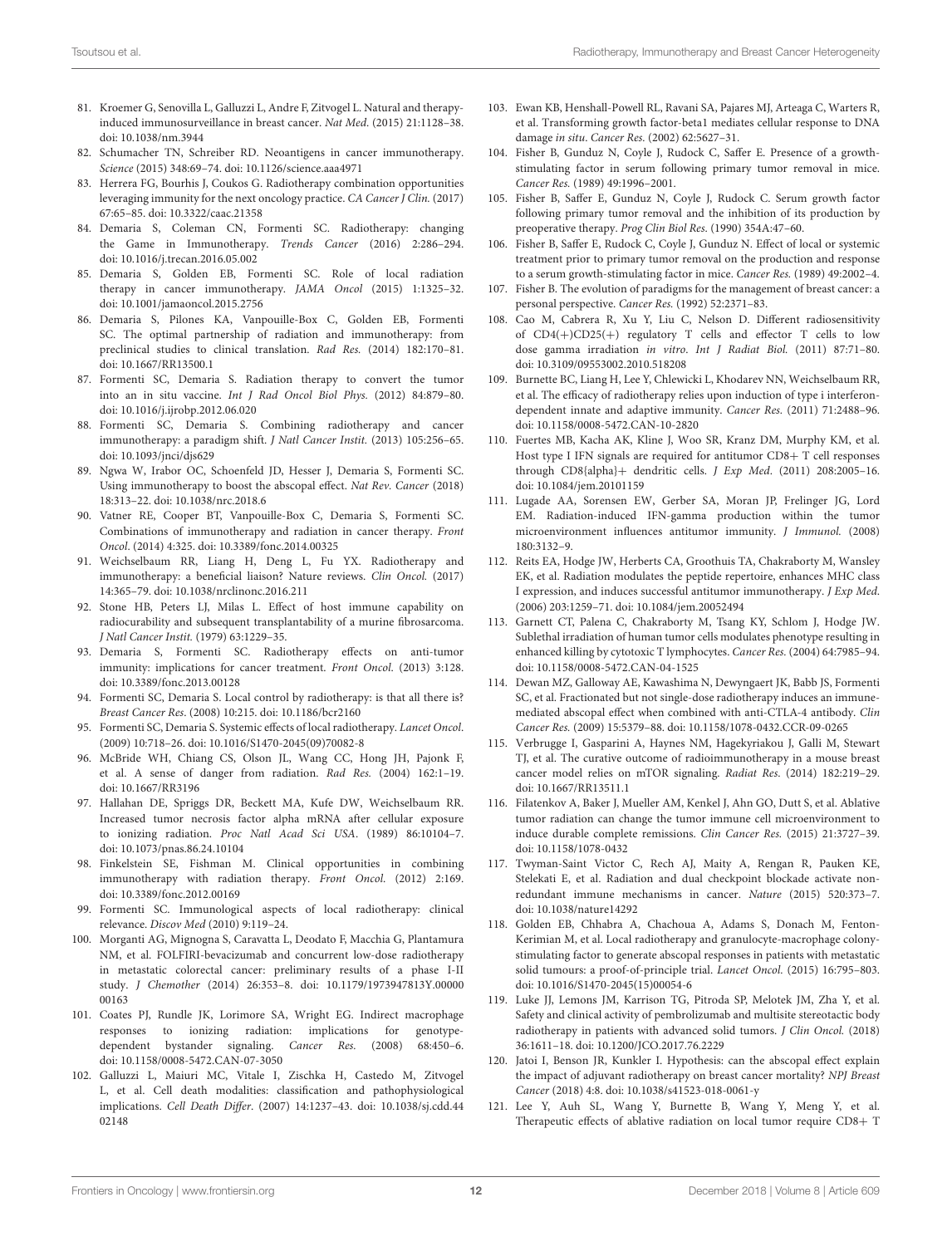- <span id="page-11-0"></span>81. Kroemer G, Senovilla L, Galluzzi L, Andre F, Zitvogel L. Natural and therapyinduced immunosurveillance in breast cancer. Nat Med. (2015) 21:1128–38. doi: [10.1038/nm.3944](https://doi.org/10.1038/nm.3944)
- <span id="page-11-1"></span>82. Schumacher TN, Schreiber RD. Neoantigens in cancer immunotherapy. Science (2015) 348:69–74. doi: [10.1126/science.aaa4971](https://doi.org/10.1126/science.aaa4971)
- <span id="page-11-2"></span>83. Herrera FG, Bourhis J, Coukos G. Radiotherapy combination opportunities leveraging immunity for the next oncology practice. CA Cancer J Clin. (2017) 67:65–85. doi: [10.3322/caac.21358](https://doi.org/10.3322/caac.21358)
- <span id="page-11-3"></span>84. Demaria S, Coleman CN, Formenti SC. Radiotherapy: changing the Game in Immunotherapy. Trends Cancer (2016) 2:286–294. doi: [10.1016/j.trecan.2016.05.002](https://doi.org/10.1016/j.trecan.2016.05.002)
- 85. Demaria S, Golden EB, Formenti SC. Role of local radiation therapy in cancer immunotherapy. JAMA Oncol (2015) 1:1325–32. doi: [10.1001/jamaoncol.2015.2756](https://doi.org/10.1001/jamaoncol.2015.2756)
- 86. Demaria S, Pilones KA, Vanpouille-Box C, Golden EB, Formenti SC. The optimal partnership of radiation and immunotherapy: from preclinical studies to clinical translation. Rad Res. (2014) 182:170–81. doi: [10.1667/RR13500.1](https://doi.org/10.1667/RR13500.1)
- 87. Formenti SC, Demaria S. Radiation therapy to convert the tumor into an in situ vaccine. Int J Rad Oncol Biol Phys. (2012) 84:879–80. doi: [10.1016/j.ijrobp.2012.06.020](https://doi.org/10.1016/j.ijrobp.2012.06.020)
- 88. Formenti SC, Demaria S. Combining radiotherapy and cancer immunotherapy: a paradigm shift. J Natl Cancer Instit. (2013) 105:256–65. doi: [10.1093/jnci/djs629](https://doi.org/10.1093/jnci/djs629)
- 89. Ngwa W, Irabor OC, Schoenfeld JD, Hesser J, Demaria S, Formenti SC. Using immunotherapy to boost the abscopal effect. Nat Rev. Cancer (2018) 18:313–22. doi: [10.1038/nrc.2018.6](https://doi.org/10.1038/nrc.2018.6)
- 90. Vatner RE, Cooper BT, Vanpouille-Box C, Demaria S, Formenti SC. Combinations of immunotherapy and radiation in cancer therapy. Front Oncol. (2014) 4:325. doi: [10.3389/fonc.2014.00325](https://doi.org/10.3389/fonc.2014.00325)
- <span id="page-11-4"></span>91. Weichselbaum RR, Liang H, Deng L, Fu YX. Radiotherapy and immunotherapy: a beneficial liaison? Nature reviews. Clin Oncol. (2017) 14:365–79. doi: [10.1038/nrclinonc.2016.211](https://doi.org/10.1038/nrclinonc.2016.211)
- <span id="page-11-5"></span>92. Stone HB, Peters LJ, Milas L. Effect of host immune capability on radiocurability and subsequent transplantability of a murine fibrosarcoma. J Natl Cancer Instit. (1979) 63:1229–35.
- <span id="page-11-6"></span>93. Demaria S, Formenti SC. Radiotherapy effects on anti-tumor immunity: implications for cancer treatment. Front Oncol. (2013) 3:128. doi: [10.3389/fonc.2013.00128](https://doi.org/10.3389/fonc.2013.00128)
- <span id="page-11-11"></span>94. Formenti SC, Demaria S. Local control by radiotherapy: is that all there is? Breast Cancer Res. (2008) 10:215. doi: [10.1186/bcr2160](https://doi.org/10.1186/bcr2160)
- <span id="page-11-7"></span>95. Formenti SC, Demaria S. Systemic effects of local radiotherapy. Lancet Oncol. (2009) 10:718–26. doi: [10.1016/S1470-2045\(09\)70082-8](https://doi.org/10.1016/S1470-2045(09)70082-8)
- <span id="page-11-8"></span>96. McBride WH, Chiang CS, Olson JL, Wang CC, Hong JH, Pajonk F, et al. A sense of danger from radiation. Rad Res. (2004) 162:1–19. doi: [10.1667/RR3196](https://doi.org/10.1667/RR3196)
- <span id="page-11-9"></span>97. Hallahan DE, Spriggs DR, Beckett MA, Kufe DW, Weichselbaum RR. Increased tumor necrosis factor alpha mRNA after cellular exposure to ionizing radiation. Proc Natl Acad Sci USA. (1989) 86:10104–7. doi: [10.1073/pnas.86.24.10104](https://doi.org/10.1073/pnas.86.24.10104)
- <span id="page-11-10"></span>98. Finkelstein SE, Fishman M. Clinical opportunities in combining immunotherapy with radiation therapy. Front Oncol. (2012) 2:169. doi: [10.3389/fonc.2012.00169](https://doi.org/10.3389/fonc.2012.00169)
- <span id="page-11-12"></span>99. Formenti SC. Immunological aspects of local radiotherapy: clinical relevance. Discov Med (2010) 9:119–24.
- <span id="page-11-14"></span>100. Morganti AG, Mignogna S, Caravatta L, Deodato F, Macchia G, Plantamura NM, et al. FOLFIRI-bevacizumab and concurrent low-dose radiotherapy in metastatic colorectal cancer: preliminary results of a phase I-II study. J Chemother [\(2014\) 26:353–8. doi: 10.1179/1973947813Y.00000](https://doi.org/10.1179/1973947813Y.0000000163) 00163
- <span id="page-11-13"></span>101. Coates PJ, Rundle JK, Lorimore SA, Wright EG. Indirect macrophage responses to ionizing radiation: implications for genotypedependent bystander signaling. Cancer Res. (2008) 68:450–6. doi: [10.1158/0008-5472.CAN-07-3050](https://doi.org/10.1158/0008-5472.CAN-07-3050)
- <span id="page-11-15"></span>102. Galluzzi L, Maiuri MC, Vitale I, Zischka H, Castedo M, Zitvogel L, et al. Cell death modalities: classification and pathophysiological implications. Cell Death Differ[. \(2007\) 14:1237–43. doi: 10.1038/sj.cdd.44](https://doi.org/10.1038/sj.cdd.4402148) 02148
- <span id="page-11-16"></span>103. Ewan KB, Henshall-Powell RL, Ravani SA, Pajares MJ, Arteaga C, Warters R, et al. Transforming growth factor-beta1 mediates cellular response to DNA damage in situ. Cancer Res. (2002) 62:5627–31.
- <span id="page-11-17"></span>104. Fisher B, Gunduz N, Coyle J, Rudock C, Saffer E. Presence of a growthstimulating factor in serum following primary tumor removal in mice. Cancer Res. (1989) 49:1996–2001.
- <span id="page-11-18"></span>105. Fisher B, Saffer E, Gunduz N, Coyle J, Rudock C. Serum growth factor following primary tumor removal and the inhibition of its production by preoperative therapy. Prog Clin Biol Res. (1990) 354A:47–60.
- 106. Fisher B, Saffer E, Rudock C, Coyle J, Gunduz N. Effect of local or systemic treatment prior to primary tumor removal on the production and response to a serum growth-stimulating factor in mice. Cancer Res. (1989) 49:2002–4.
- <span id="page-11-19"></span>107. Fisher B. The evolution of paradigms for the management of breast cancer: a personal perspective. Cancer Res. (1992) 52:2371–83.
- <span id="page-11-20"></span>108. Cao M, Cabrera R, Xu Y, Liu C, Nelson D. Different radiosensitivity of CD4(+)CD25(+) regulatory T cells and effector T cells to low dose gamma irradiation in vitro. Int J Radiat Biol. (2011) 87:71–80. doi: [10.3109/09553002.2010.518208](https://doi.org/10.3109/09553002.2010.518208)
- <span id="page-11-21"></span>109. Burnette BC, Liang H, Lee Y, Chlewicki L, Khodarev NN, Weichselbaum RR, et al. The efficacy of radiotherapy relies upon induction of type i interferondependent innate and adaptive immunity. Cancer Res. (2011) 71:2488–96. doi: [10.1158/0008-5472.CAN-10-2820](https://doi.org/10.1158/0008-5472.CAN-10-2820)
- <span id="page-11-22"></span>110. Fuertes MB, Kacha AK, Kline J, Woo SR, Kranz DM, Murphy KM, et al. Host type I IFN signals are required for antitumor CD8+ T cell responses through CD8{alpha}+ dendritic cells. J Exp Med. (2011) 208:2005–16. doi: [10.1084/jem.20101159](https://doi.org/10.1084/jem.20101159)
- 111. Lugade AA, Sorensen EW, Gerber SA, Moran JP, Frelinger JG, Lord EM. Radiation-induced IFN-gamma production within the tumor microenvironment influences antitumor immunity. J Immunol. (2008) 180:3132–9.
- <span id="page-11-23"></span>112. Reits EA, Hodge JW, Herberts CA, Groothuis TA, Chakraborty M, Wansley EK, et al. Radiation modulates the peptide repertoire, enhances MHC class I expression, and induces successful antitumor immunotherapy. J Exp Med. (2006) 203:1259–71. doi: [10.1084/jem.20052494](https://doi.org/10.1084/jem.20052494)
- <span id="page-11-24"></span>113. Garnett CT, Palena C, Chakraborty M, Tsang KY, Schlom J, Hodge JW. Sublethal irradiation of human tumor cells modulates phenotype resulting in enhanced killing by cytotoxic T lymphocytes. Cancer Res. (2004) 64:7985–94. doi: [10.1158/0008-5472.CAN-04-1525](https://doi.org/10.1158/0008-5472.CAN-04-1525)
- <span id="page-11-25"></span>114. Dewan MZ, Galloway AE, Kawashima N, Dewyngaert JK, Babb JS, Formenti SC, et al. Fractionated but not single-dose radiotherapy induces an immunemediated abscopal effect when combined with anti-CTLA-4 antibody. Clin Cancer Res. (2009) 15:5379–88. doi: [10.1158/1078-0432.CCR-09-0265](https://doi.org/10.1158/1078-0432.CCR-09-0265)
- <span id="page-11-26"></span>115. Verbrugge I, Gasparini A, Haynes NM, Hagekyriakou J, Galli M, Stewart TJ, et al. The curative outcome of radioimmunotherapy in a mouse breast cancer model relies on mTOR signaling. Radiat Res. (2014) 182:219–29. doi: [10.1667/RR13511.1](https://doi.org/10.1667/RR13511.1)
- <span id="page-11-27"></span>116. Filatenkov A, Baker J, Mueller AM, Kenkel J, Ahn GO, Dutt S, et al. Ablative tumor radiation can change the tumor immune cell microenvironment to induce durable complete remissions. Clin Cancer Res. (2015) 21:3727–39. doi: [10.1158/1078-0432](https://doi.org/10.1158/1078-0432)
- <span id="page-11-28"></span>117. Twyman-Saint Victor C, Rech AJ, Maity A, Rengan R, Pauken KE, Stelekati E, et al. Radiation and dual checkpoint blockade activate nonredundant immune mechanisms in cancer. Nature (2015) 520:373–7. doi: [10.1038/nature14292](https://doi.org/10.1038/nature14292)
- <span id="page-11-29"></span>118. Golden EB, Chhabra A, Chachoua A, Adams S, Donach M, Fenton-Kerimian M, et al. Local radiotherapy and granulocyte-macrophage colonystimulating factor to generate abscopal responses in patients with metastatic solid tumours: a proof-of-principle trial. Lancet Oncol. (2015) 16:795–803. doi: [10.1016/S1470-2045\(15\)00054-6](https://doi.org/10.1016/S1470-2045(15)00054-6)
- <span id="page-11-30"></span>119. Luke JJ, Lemons JM, Karrison TG, Pitroda SP, Melotek JM, Zha Y, et al. Safety and clinical activity of pembrolizumab and multisite stereotactic body radiotherapy in patients with advanced solid tumors. J Clin Oncol. (2018) 36:1611–18. doi: [10.1200/JCO.2017.76.2229](https://doi.org/10.1200/JCO.2017.76.2229)
- <span id="page-11-31"></span>120. Jatoi I, Benson JR, Kunkler I. Hypothesis: can the abscopal effect explain the impact of adjuvant radiotherapy on breast cancer mortality? NPJ Breast Cancer (2018) 4:8. doi: [10.1038/s41523-018-0061-y](https://doi.org/10.1038/s41523-018-0061-y)
- <span id="page-11-32"></span>121. Lee Y, Auh SL, Wang Y, Burnette B, Wang Y, Meng Y, et al. Therapeutic effects of ablative radiation on local tumor require CD8+ T